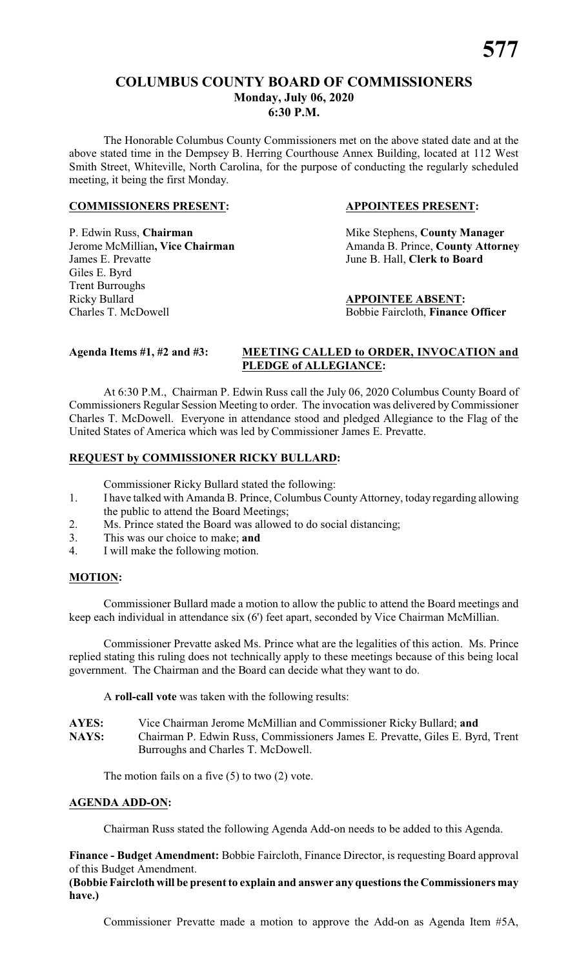#### **COLUMBUS COUNTY BOARD OF COMMISSIONERS Monday, July 06, 2020 6:30 P.M.**

The Honorable Columbus County Commissioners met on the above stated date and at the above stated time in the Dempsey B. Herring Courthouse Annex Building, located at 112 West Smith Street, Whiteville, North Carolina, for the purpose of conducting the regularly scheduled meeting, it being the first Monday.

#### **COMMISSIONERS PRESENT: APPOINTEES PRESENT:**

P. Edwin Russ, **Chairman** Mike Stephens, **County Manager** James E. Prevatte June B. Hall, **Clerk to Board** Giles E. Byrd Trent Burroughs Ricky Bullard **APPOINTEE ABSENT:** Charles T. McDowell Bobbie Faircloth, **Finance Officer**

Jerome McMillian, Vice Chairman Amanda B. Prince, County Attorney

#### **Agenda Items #1, #2 and #3: MEETING CALLED to ORDER, INVOCATION and PLEDGE of ALLEGIANCE:**

At 6:30 P.M., Chairman P. Edwin Russ call the July 06, 2020 Columbus County Board of Commissioners Regular Session Meeting to order. The invocation was delivered byCommissioner Charles T. McDowell. Everyone in attendance stood and pledged Allegiance to the Flag of the United States of America which was led by Commissioner James E. Prevatte.

#### **REQUEST by COMMISSIONER RICKY BULLARD:**

Commissioner Ricky Bullard stated the following:

- 1. I have talked with Amanda B. Prince, Columbus County Attorney, today regarding allowing the public to attend the Board Meetings;
- 2. Ms. Prince stated the Board was allowed to do social distancing;
- 3. This was our choice to make; **and**
- 4. I will make the following motion.

#### **MOTION:**

Commissioner Bullard made a motion to allow the public to attend the Board meetings and keep each individual in attendance six (6') feet apart, seconded by Vice Chairman McMillian.

Commissioner Prevatte asked Ms. Prince what are the legalities of this action. Ms. Prince replied stating this ruling does not technically apply to these meetings because of this being local government. The Chairman and the Board can decide what they want to do.

A **roll-call vote** was taken with the following results:

| <b>AYES:</b> | Vice Chairman Jerome McMillian and Commissioner Ricky Bullard; and            |
|--------------|-------------------------------------------------------------------------------|
| <b>NAYS:</b> | Chairman P. Edwin Russ, Commissioners James E. Prevatte, Giles E. Byrd, Trent |
|              | Burroughs and Charles T. McDowell.                                            |

The motion fails on a five (5) to two (2) vote.

#### **AGENDA ADD-ON:**

Chairman Russ stated the following Agenda Add-on needs to be added to this Agenda.

**Finance - Budget Amendment:** Bobbie Faircloth, Finance Director, is requesting Board approval of this Budget Amendment.

**(Bobbie Faircloth will be present to explain and answer any questions the Commissioners may have.)**

Commissioner Prevatte made a motion to approve the Add-on as Agenda Item #5A,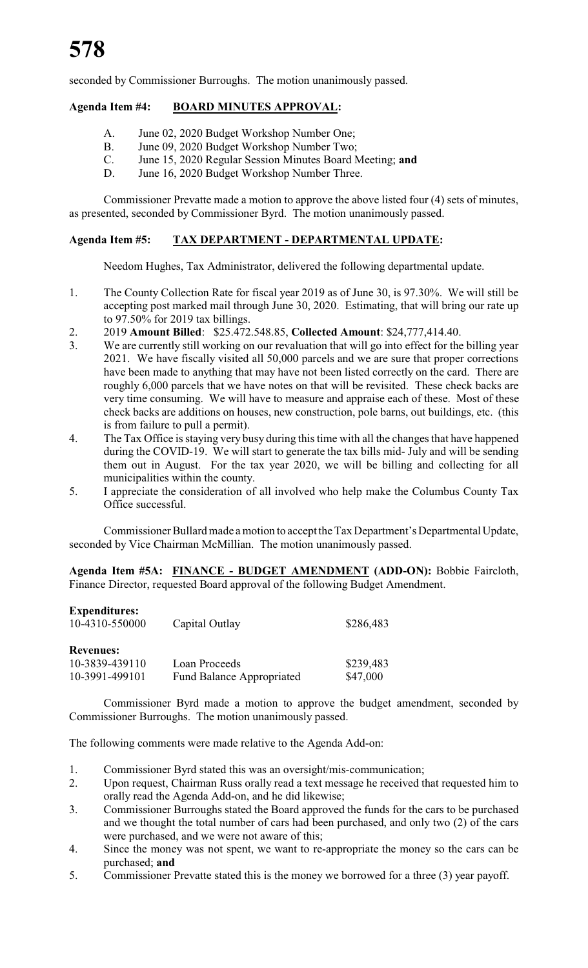seconded by Commissioner Burroughs. The motion unanimously passed.

#### **Agenda Item #4: BOARD MINUTES APPROVAL:**

- A. June 02, 2020 Budget Workshop Number One;
- B. June 09, 2020 Budget Workshop Number Two;<br>C. June 15, 2020 Regular Session Minutes Board M
- C. June 15, 2020 Regular Session Minutes Board Meeting; **and**
- June 16, 2020 Budget Workshop Number Three.

Commissioner Prevatte made a motion to approve the above listed four (4) sets of minutes, as presented, seconded by Commissioner Byrd. The motion unanimously passed.

#### **Agenda Item #5: TAX DEPARTMENT - DEPARTMENTAL UPDATE:**

Needom Hughes, Tax Administrator, delivered the following departmental update.

- 1. The County Collection Rate for fiscal year 2019 as of June 30, is 97.30%. We will still be accepting post marked mail through June 30, 2020. Estimating, that will bring our rate up to 97.50% for 2019 tax billings.
- 2. 2019 **Amount Billed**: \$25.472.548.85, **Collected Amount**: \$24,777,414.40.
- 3. We are currently still working on our revaluation that will go into effect for the billing year 2021. We have fiscally visited all 50,000 parcels and we are sure that proper corrections have been made to anything that may have not been listed correctly on the card. There are roughly 6,000 parcels that we have notes on that will be revisited. These check backs are very time consuming. We will have to measure and appraise each of these. Most of these check backs are additions on houses, new construction, pole barns, out buildings, etc. (this is from failure to pull a permit).
- 4. The Tax Office is staying very busy during this time with all the changes that have happened during the COVID-19. We will start to generate the tax bills mid- July and will be sending them out in August. For the tax year 2020, we will be billing and collecting for all municipalities within the county.
- 5. I appreciate the consideration of all involved who help make the Columbus County Tax Office successful.

Commissioner Bullard made a motion to accept the Tax Department's Departmental Update, seconded by Vice Chairman McMillian. The motion unanimously passed.

**Agenda Item #5A: FINANCE - BUDGET AMENDMENT (ADD-ON):** Bobbie Faircloth, Finance Director, requested Board approval of the following Budget Amendment.

| <b>Expenditures:</b> |                                  |           |
|----------------------|----------------------------------|-----------|
| 10-4310-550000       | Capital Outlay                   | \$286,483 |
|                      |                                  |           |
| <b>Revenues:</b>     |                                  |           |
| 10-3839-439110       | Loan Proceeds                    | \$239,483 |
| 10-3991-499101       | <b>Fund Balance Appropriated</b> | \$47,000  |

Commissioner Byrd made a motion to approve the budget amendment, seconded by Commissioner Burroughs. The motion unanimously passed.

The following comments were made relative to the Agenda Add-on:

- 1. Commissioner Byrd stated this was an oversight/mis-communication;
- 2. Upon request, Chairman Russ orally read a text message he received that requested him to orally read the Agenda Add-on, and he did likewise;
- 3. Commissioner Burroughs stated the Board approved the funds for the cars to be purchased and we thought the total number of cars had been purchased, and only two (2) of the cars were purchased, and we were not aware of this;
- 4. Since the money was not spent, we want to re-appropriate the money so the cars can be purchased; **and**
- 5. Commissioner Prevatte stated this is the money we borrowed for a three (3) year payoff.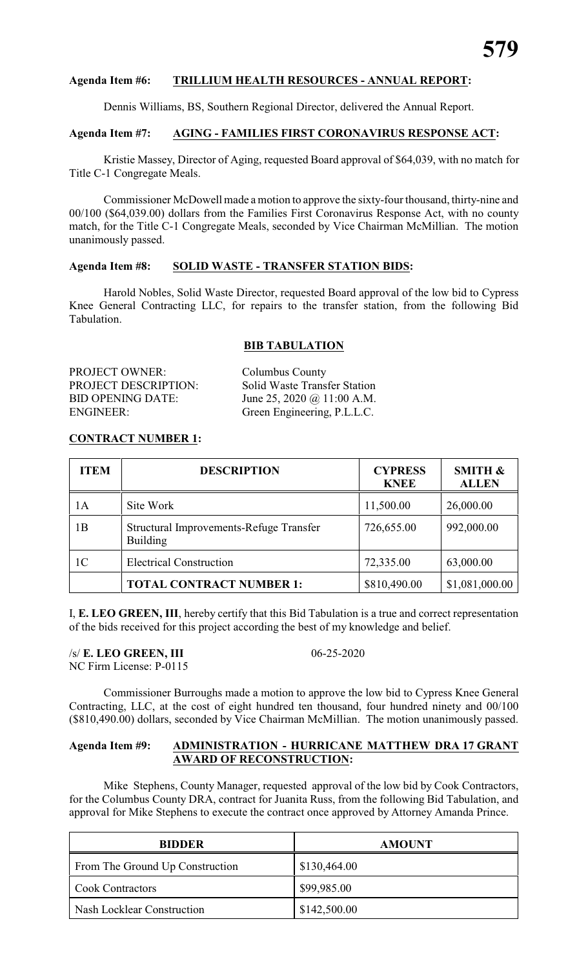#### **Agenda Item #6: TRILLIUM HEALTH RESOURCES - ANNUAL REPORT:**

Dennis Williams, BS, Southern Regional Director, delivered the Annual Report.

#### **Agenda Item #7: AGING - FAMILIES FIRST CORONAVIRUS RESPONSE ACT:**

Kristie Massey, Director of Aging, requested Board approval of \$64,039, with no match for Title C-1 Congregate Meals.

Commissioner McDowell made a motion to approve the sixty-four thousand, thirty-nine and 00/100 (\$64,039.00) dollars from the Families First Coronavirus Response Act, with no county match, for the Title C-1 Congregate Meals, seconded by Vice Chairman McMillian. The motion unanimously passed.

#### **Agenda Item #8: SOLID WASTE - TRANSFER STATION BIDS:**

Harold Nobles, Solid Waste Director, requested Board approval of the low bid to Cypress Knee General Contracting LLC, for repairs to the transfer station, from the following Bid Tabulation.

#### **BIB TABULATION**

PROJECT OWNER: Columbus County ENGINEER: Green Engineering, P.L.L.C.

PROJECT DESCRIPTION: Solid Waste Transfer Station BID OPENING DATE: June 25, 2020 @ 11:00 A.M.

#### **CONTRACT NUMBER 1:**

| <b>ITEM</b>    | <b>DESCRIPTION</b>                                  | <b>CYPRESS</b><br><b>KNEE</b> | <b>SMITH &amp;</b><br><b>ALLEN</b> |
|----------------|-----------------------------------------------------|-------------------------------|------------------------------------|
| 1А             | Site Work                                           | 11,500.00                     | 26,000.00                          |
| 1B             | Structural Improvements-Refuge Transfer<br>Building | 726,655.00                    | 992,000.00                         |
| 1 <sup>C</sup> | <b>Electrical Construction</b>                      | 72,335.00                     | 63,000.00                          |
|                | <b>TOTAL CONTRACT NUMBER 1:</b>                     | \$810,490.00                  | \$1,081,000.00                     |

I, **E. LEO GREEN, III**, hereby certify that this Bid Tabulation is a true and correct representation of the bids received for this project according the best of my knowledge and belief.

/s/ **E. LEO GREEN, III** 06-25-2020 NC Firm License: P-0115

Commissioner Burroughs made a motion to approve the low bid to Cypress Knee General Contracting, LLC, at the cost of eight hundred ten thousand, four hundred ninety and 00/100 (\$810,490.00) dollars, seconded by Vice Chairman McMillian. The motion unanimously passed.

#### **Agenda Item #9: ADMINISTRATION - HURRICANE MATTHEW DRA 17 GRANT AWARD OF RECONSTRUCTION:**

Mike Stephens, County Manager, requested approval of the low bid by Cook Contractors, for the Columbus County DRA, contract for Juanita Russ, from the following Bid Tabulation, and approval for Mike Stephens to execute the contract once approved by Attorney Amanda Prince.

| <b>BIDDER</b>                   | <b>AMOUNT</b> |
|---------------------------------|---------------|
| From The Ground Up Construction | \$130,464.00  |
| <b>Cook Contractors</b>         | \$99,985.00   |
| Nash Locklear Construction      | \$142,500.00  |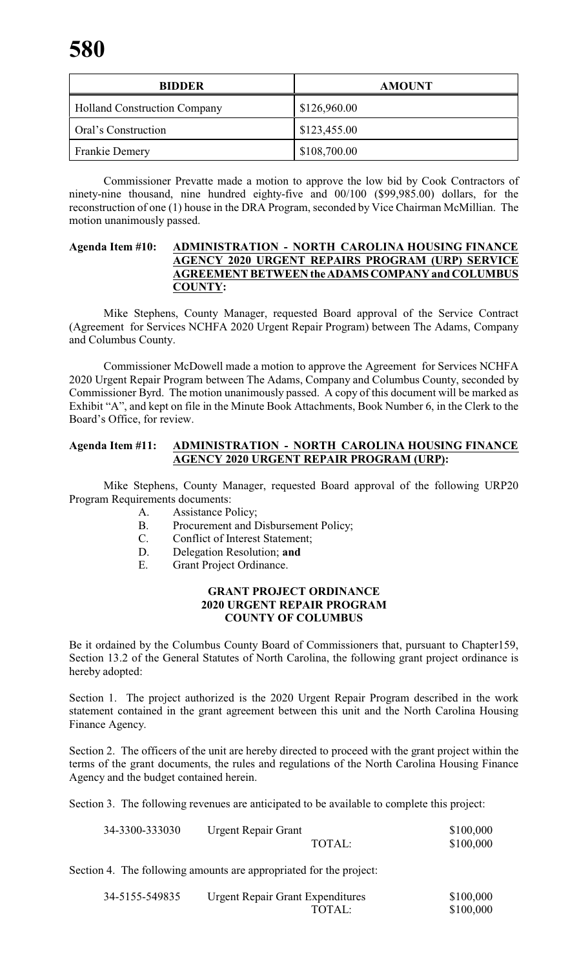| <b>BIDDER</b>                       | <b>AMOUNT</b> |
|-------------------------------------|---------------|
| <b>Holland Construction Company</b> | \$126,960.00  |
| Oral's Construction                 | \$123,455.00  |
| <b>Frankie Demery</b>               | \$108,700.00  |

Commissioner Prevatte made a motion to approve the low bid by Cook Contractors of ninety-nine thousand, nine hundred eighty-five and 00/100 (\$99,985.00) dollars, for the reconstruction of one (1) house in the DRA Program, seconded by Vice Chairman McMillian. The motion unanimously passed.

#### **Agenda Item #10: ADMINISTRATION - NORTH CAROLINA HOUSING FINANCE AGENCY 2020 URGENT REPAIRS PROGRAM (URP) SERVICE AGREEMENT BETWEEN theADAMSCOMPANY and COLUMBUS COUNTY:**

Mike Stephens, County Manager, requested Board approval of the Service Contract (Agreement for Services NCHFA 2020 Urgent Repair Program) between The Adams, Company and Columbus County.

Commissioner McDowell made a motion to approve the Agreement for Services NCHFA 2020 Urgent Repair Program between The Adams, Company and Columbus County, seconded by Commissioner Byrd. The motion unanimously passed. A copy of this document will be marked as Exhibit "A", and kept on file in the Minute Book Attachments, Book Number 6, in the Clerk to the Board's Office, for review.

#### **Agenda Item #11: ADMINISTRATION - NORTH CAROLINA HOUSING FINANCE AGENCY 2020 URGENT REPAIR PROGRAM (URP):**

Mike Stephens, County Manager, requested Board approval of the following URP20 Program Requirements documents:

- A. Assistance Policy;
- B. Procurement and Disbursement Policy;
- C. Conflict of Interest Statement;
- D. Delegation Resolution; **and**
- E. Grant Project Ordinance.

#### **GRANT PROJECT ORDINANCE 2020 URGENT REPAIR PROGRAM COUNTY OF COLUMBUS**

Be it ordained by the Columbus County Board of Commissioners that, pursuant to Chapter159, Section 13.2 of the General Statutes of North Carolina, the following grant project ordinance is hereby adopted:

Section 1. The project authorized is the 2020 Urgent Repair Program described in the work statement contained in the grant agreement between this unit and the North Carolina Housing Finance Agency.

Section 2. The officers of the unit are hereby directed to proceed with the grant project within the terms of the grant documents, the rules and regulations of the North Carolina Housing Finance Agency and the budget contained herein.

Section 3. The following revenues are anticipated to be available to complete this project:

| 34-3300-333030 | <b>Urgent Repair Grant</b> | \$100,000 |
|----------------|----------------------------|-----------|
|                | TOTAL:                     | \$100,000 |

Section 4. The following amounts are appropriated for the project:

| 34-5155-549835 | <b>Urgent Repair Grant Expenditures</b> | \$100,000 |
|----------------|-----------------------------------------|-----------|
|                | TOTAL:                                  | \$100,000 |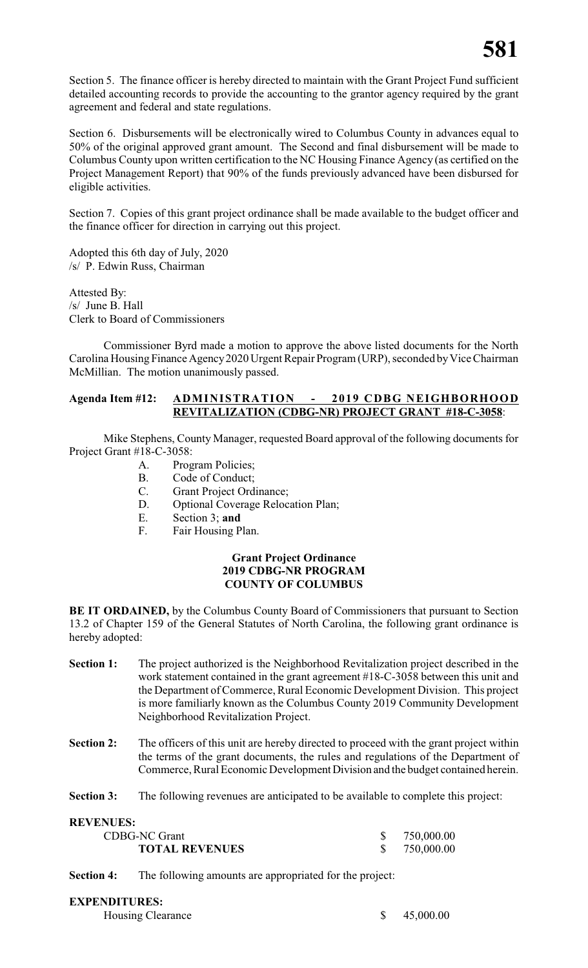Section 5. The finance officer is hereby directed to maintain with the Grant Project Fund sufficient detailed accounting records to provide the accounting to the grantor agency required by the grant agreement and federal and state regulations.

Section 6. Disbursements will be electronically wired to Columbus County in advances equal to 50% of the original approved grant amount. The Second and final disbursement will be made to Columbus County upon written certification to the NC Housing Finance Agency (as certified on the Project Management Report) that 90% of the funds previously advanced have been disbursed for eligible activities.

Section 7. Copies of this grant project ordinance shall be made available to the budget officer and the finance officer for direction in carrying out this project.

Adopted this 6th day of July, 2020 /s/ P. Edwin Russ, Chairman

Attested By: /s/ June B. Hall Clerk to Board of Commissioners

Commissioner Byrd made a motion to approve the above listed documents for the North Carolina Housing Finance Agency2020 Urgent Repair Program (URP), seconded byVice Chairman McMillian. The motion unanimously passed.

#### **Agenda Item #12: ADMINISTRATION - 2019 CDBG NEIGHBORHOOD REVITALIZATION (CDBG-NR) PROJECT GRANT #18-C-3058**:

Mike Stephens, County Manager, requested Board approval of the following documents for Project Grant #18-C-3058:

- A. Program Policies;
- B. Code of Conduct;
- C. Grant Project Ordinance;
- D. Optional Coverage Relocation Plan;
- E. Section 3; **and**
- F. Fair Housing Plan.

#### **Grant Project Ordinance 2019 CDBG-NR PROGRAM COUNTY OF COLUMBUS**

**BE IT ORDAINED,** by the Columbus County Board of Commissioners that pursuant to Section 13.2 of Chapter 159 of the General Statutes of North Carolina, the following grant ordinance is hereby adopted:

- **Section 1:** The project authorized is the Neighborhood Revitalization project described in the work statement contained in the grant agreement #18-C-3058 between this unit and the Department of Commerce, Rural Economic Development Division. This project is more familiarly known as the Columbus County 2019 Community Development Neighborhood Revitalization Project.
- **Section 2:** The officers of this unit are hereby directed to proceed with the grant project within the terms of the grant documents, the rules and regulations of the Department of Commerce, Rural Economic Development Division and the budget contained herein.
- **Section 3:** The following revenues are anticipated to be available to complete this project:

**REVENUES:**

| .                     |              |
|-----------------------|--------------|
| <b>CDBG-NC Grant</b>  | \$750,000.00 |
| <b>TOTAL REVENUES</b> | \$750,000.00 |

**Section 4:** The following amounts are appropriated for the project:

### **EXPENDITURES:**

| \$ 45,000.00<br>Housing Clearance | $\cdots$ |  |
|-----------------------------------|----------|--|
|                                   |          |  |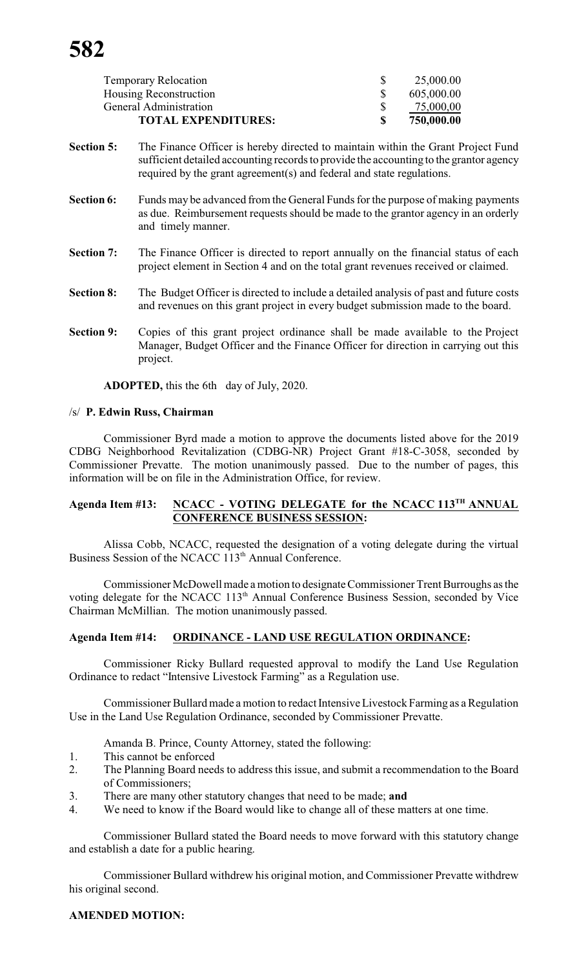| <b>Temporary Relocation</b> | 25,000.00  |
|-----------------------------|------------|
| Housing Reconstruction      | 605,000.00 |
| General Administration      | 75,000,00  |
| <b>TOTAL EXPENDITURES:</b>  | 750,000.00 |

- **Section 5:** The Finance Officer is hereby directed to maintain within the Grant Project Fund sufficient detailed accounting records to provide the accounting to the grantor agency required by the grant agreement(s) and federal and state regulations.
- **Section 6:** Funds may be advanced from the General Funds for the purpose of making payments as due. Reimbursement requests should be made to the grantor agency in an orderly and timely manner.
- Section 7: The Finance Officer is directed to report annually on the financial status of each project element in Section 4 and on the total grant revenues received or claimed.
- **Section 8:** The Budget Officer is directed to include a detailed analysis of past and future costs and revenues on this grant project in every budget submission made to the board.
- Section 9: Copies of this grant project ordinance shall be made available to the Project Manager, Budget Officer and the Finance Officer for direction in carrying out this project.

**ADOPTED,** this the 6th day of July, 2020.

#### /s/ **P. Edwin Russ, Chairman**

Commissioner Byrd made a motion to approve the documents listed above for the 2019 CDBG Neighborhood Revitalization (CDBG-NR) Project Grant #18-C-3058, seconded by Commissioner Prevatte. The motion unanimously passed. Due to the number of pages, this information will be on file in the Administration Office, for review.

#### **Agenda Item #13: NCACC - VOTING DELEGATE for the NCACC 113 TH ANNUAL CONFERENCE BUSINESS SESSION:**

Alissa Cobb, NCACC, requested the designation of a voting delegate during the virtual Business Session of the NCACC 113<sup>th</sup> Annual Conference.

Commissioner McDowell made a motion to designate Commissioner Trent Burroughs as the voting delegate for the NCACC 113<sup>th</sup> Annual Conference Business Session, seconded by Vice Chairman McMillian. The motion unanimously passed.

#### **Agenda Item #14: ORDINANCE - LAND USE REGULATION ORDINANCE:**

Commissioner Ricky Bullard requested approval to modify the Land Use Regulation Ordinance to redact "Intensive Livestock Farming" as a Regulation use.

Commissioner Bullard made a motion to redact Intensive Livestock Farming as a Regulation Use in the Land Use Regulation Ordinance, seconded by Commissioner Prevatte.

Amanda B. Prince, County Attorney, stated the following:

- 1. This cannot be enforced
- 2. The Planning Board needs to address this issue, and submit a recommendation to the Board of Commissioners;
- 3. There are many other statutory changes that need to be made; **and**
- 4. We need to know if the Board would like to change all of these matters at one time.

Commissioner Bullard stated the Board needs to move forward with this statutory change and establish a date for a public hearing.

Commissioner Bullard withdrew his original motion, and Commissioner Prevatte withdrew his original second.

#### **AMENDED MOTION:**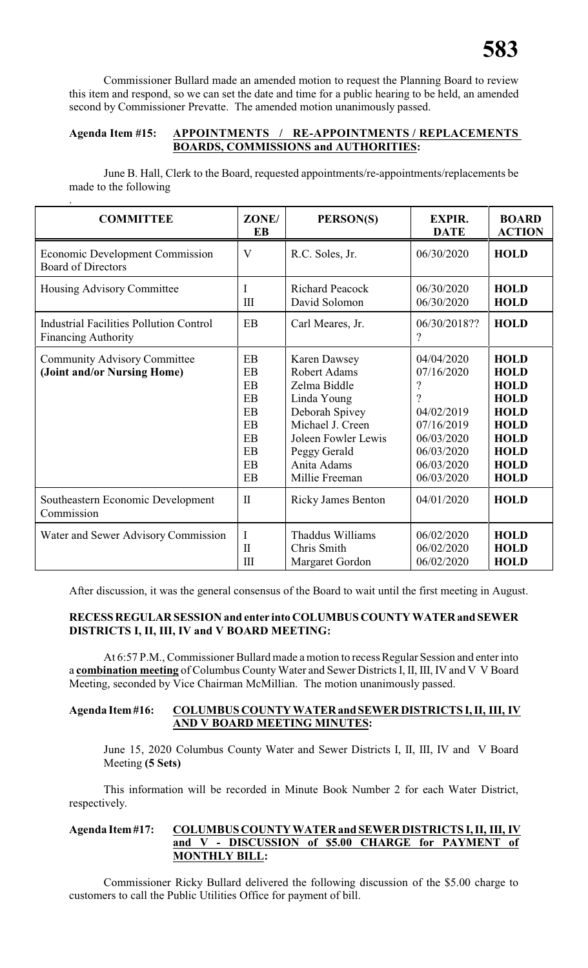Commissioner Bullard made an amended motion to request the Planning Board to review this item and respond, so we can set the date and time for a public hearing to be held, an amended second by Commissioner Prevatte. The amended motion unanimously passed.

#### **Agenda Item #15: APPOINTMENTS / RE-APPOINTMENTS / REPLACEMENTS BOARDS, COMMISSIONS and AUTHORITIES:**

June B. Hall, Clerk to the Board, requested appointments/re-appointments/replacements be made to the following

| <b>COMMITTEE</b>                                                             | ZONE/<br><b>EB</b>                                       | PERSON(S)                                                                                                                                                                        | <b>EXPIR.</b><br><b>DATE</b>                                                                                                                  | <b>BOARD</b><br><b>ACTION</b>                                                                                                                      |
|------------------------------------------------------------------------------|----------------------------------------------------------|----------------------------------------------------------------------------------------------------------------------------------------------------------------------------------|-----------------------------------------------------------------------------------------------------------------------------------------------|----------------------------------------------------------------------------------------------------------------------------------------------------|
| <b>Economic Development Commission</b><br><b>Board of Directors</b>          | V                                                        | R.C. Soles, Jr.                                                                                                                                                                  | 06/30/2020                                                                                                                                    | <b>HOLD</b>                                                                                                                                        |
| Housing Advisory Committee                                                   | I<br>Ш                                                   | <b>Richard Peacock</b><br>David Solomon                                                                                                                                          | 06/30/2020<br>06/30/2020                                                                                                                      | <b>HOLD</b><br><b>HOLD</b>                                                                                                                         |
| <b>Industrial Facilities Pollution Control</b><br><b>Financing Authority</b> | EB                                                       | Carl Meares, Jr.                                                                                                                                                                 | 06/30/2018??<br>$\overline{\mathcal{L}}$                                                                                                      | <b>HOLD</b>                                                                                                                                        |
| <b>Community Advisory Committee</b><br>(Joint and/or Nursing Home)           | EB<br>EB<br>EB<br>EB<br>EB<br>EB<br>EB<br>EB<br>EB<br>EB | <b>Karen Dawsey</b><br>Robert Adams<br>Zelma Biddle<br>Linda Young<br>Deborah Spivey<br>Michael J. Creen<br>Joleen Fowler Lewis<br>Peggy Gerald<br>Anita Adams<br>Millie Freeman | 04/04/2020<br>07/16/2020<br>$\overline{\mathcal{C}}$<br>?<br>04/02/2019<br>07/16/2019<br>06/03/2020<br>06/03/2020<br>06/03/2020<br>06/03/2020 | <b>HOLD</b><br><b>HOLD</b><br><b>HOLD</b><br><b>HOLD</b><br><b>HOLD</b><br><b>HOLD</b><br><b>HOLD</b><br><b>HOLD</b><br><b>HOLD</b><br><b>HOLD</b> |
| Southeastern Economic Development<br>Commission                              | $\mathbf{I}$                                             | <b>Ricky James Benton</b>                                                                                                                                                        | 04/01/2020                                                                                                                                    | <b>HOLD</b>                                                                                                                                        |
| Water and Sewer Advisory Commission                                          | I<br>$\mathbf{I}$<br>III                                 | Thaddus Williams<br>Chris Smith<br>Margaret Gordon                                                                                                                               | 06/02/2020<br>06/02/2020<br>06/02/2020                                                                                                        | <b>HOLD</b><br><b>HOLD</b><br><b>HOLD</b>                                                                                                          |

After discussion, it was the general consensus of the Board to wait until the first meeting in August.

#### **RECESSREGULARSESSION and enter into COLUMBUS COUNTY WATERand SEWER DISTRICTS I, II, III, IV and V BOARD MEETING:**

At 6:57 P.M., Commissioner Bullard made a motion to recess Regular Session and enter into a **combination meeting** of Columbus County Water and Sewer Districts I, II, III, IV and V V Board Meeting, seconded by Vice Chairman McMillian. The motion unanimously passed.

#### **Agenda Item#16: COLUMBUS COUNTY WATERandSEWER DISTRICTS I, II, III, IV AND V BOARD MEETING MINUTES:**

June 15, 2020 Columbus County Water and Sewer Districts I, II, III, IV and V Board Meeting **(5 Sets)**

This information will be recorded in Minute Book Number 2 for each Water District, respectively.

#### **Agenda Item#17: COLUMBUS COUNTY WATER and SEWER DISTRICTS I, II, III, IV and V - DISCUSSION of \$5.00 CHARGE for PAYMENT of MONTHLY BILL:**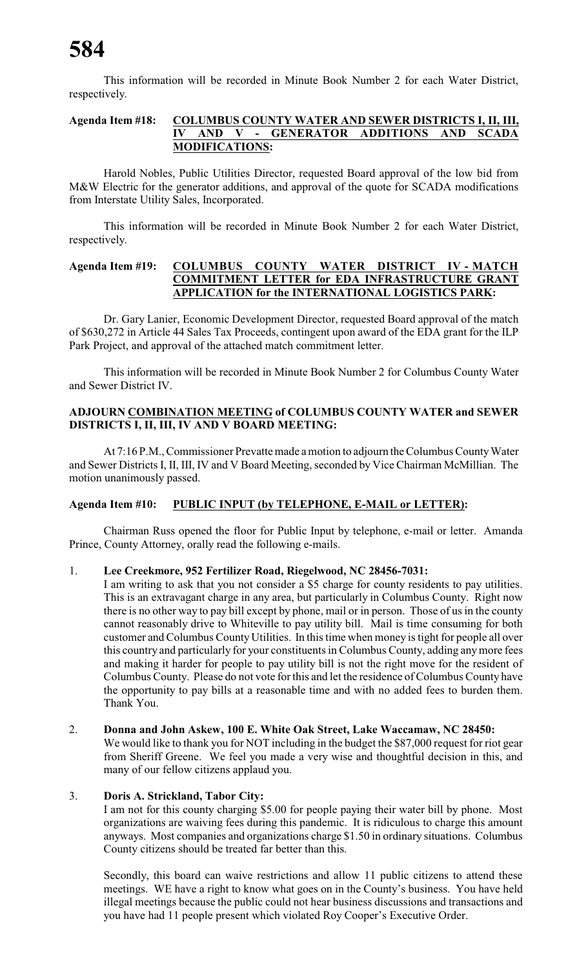This information will be recorded in Minute Book Number 2 for each Water District, respectively.

#### **Agenda Item #18: COLUMBUS COUNTY WATER AND SEWER DISTRICTS I, II, III, IV AND V - GENERATOR ADDITIONS AND SCADA MODIFICATIONS:**

Harold Nobles, Public Utilities Director, requested Board approval of the low bid from M&W Electric for the generator additions, and approval of the quote for SCADA modifications from Interstate Utility Sales, Incorporated.

This information will be recorded in Minute Book Number 2 for each Water District, respectively.

#### **Agenda Item #19: COLUMBUS COUNTY WATER DISTRICT IV - MATCH COMMITMENT LETTER for EDA INFRASTRUCTURE GRANT APPLICATION for the INTERNATIONAL LOGISTICS PARK:**

Dr. Gary Lanier, Economic Development Director, requested Board approval of the match of \$630,272 in Article 44 Sales Tax Proceeds, contingent upon award of the EDA grant for the ILP Park Project, and approval of the attached match commitment letter.

This information will be recorded in Minute Book Number 2 for Columbus County Water and Sewer District IV.

#### **ADJOURN COMBINATION MEETING of COLUMBUS COUNTY WATER and SEWER DISTRICTS I, II, III, IV AND V BOARD MEETING:**

At 7:16 P.M., Commissioner Prevatte made a motion to adjourn the Columbus CountyWater and Sewer Districts I, II, III, IV and V Board Meeting, seconded by Vice Chairman McMillian. The motion unanimously passed.

#### **Agenda Item #10: PUBLIC INPUT (by TELEPHONE, E-MAIL or LETTER):**

Chairman Russ opened the floor for Public Input by telephone, e-mail or letter. Amanda Prince, County Attorney, orally read the following e-mails.

#### 1. **Lee Creekmore, 952 Fertilizer Road, Riegelwood, NC 28456-7031:**

I am writing to ask that you not consider a \$5 charge for county residents to pay utilities. This is an extravagant charge in any area, but particularly in Columbus County. Right now there is no other way to pay bill except by phone, mail or in person. Those of us in the county cannot reasonably drive to Whiteville to pay utility bill. Mail is time consuming for both customer and Columbus County Utilities. In this time when money is tight for people all over this country and particularly for your constituents in Columbus County, adding anymore fees and making it harder for people to pay utility bill is not the right move for the resident of Columbus County. Please do not vote for this and let the residence of Columbus County have the opportunity to pay bills at a reasonable time and with no added fees to burden them. Thank You.

#### 2. **Donna and John Askew, 100 E. White Oak Street, Lake Waccamaw, NC 28450:**

We would like to thank you for NOT including in the budget the \$87,000 request for riot gear from Sheriff Greene. We feel you made a very wise and thoughtful decision in this, and many of our fellow citizens applaud you.

#### 3. **Doris A. Strickland, Tabor City:**

I am not for this county charging \$5.00 for people paying their water bill by phone. Most organizations are waiving fees during this pandemic. It is ridiculous to charge this amount anyways. Most companies and organizations charge \$1.50 in ordinary situations. Columbus County citizens should be treated far better than this.

Secondly, this board can waive restrictions and allow 11 public citizens to attend these meetings. WE have a right to know what goes on in the County's business. You have held illegal meetings because the public could not hear business discussions and transactions and you have had 11 people present which violated Roy Cooper's Executive Order.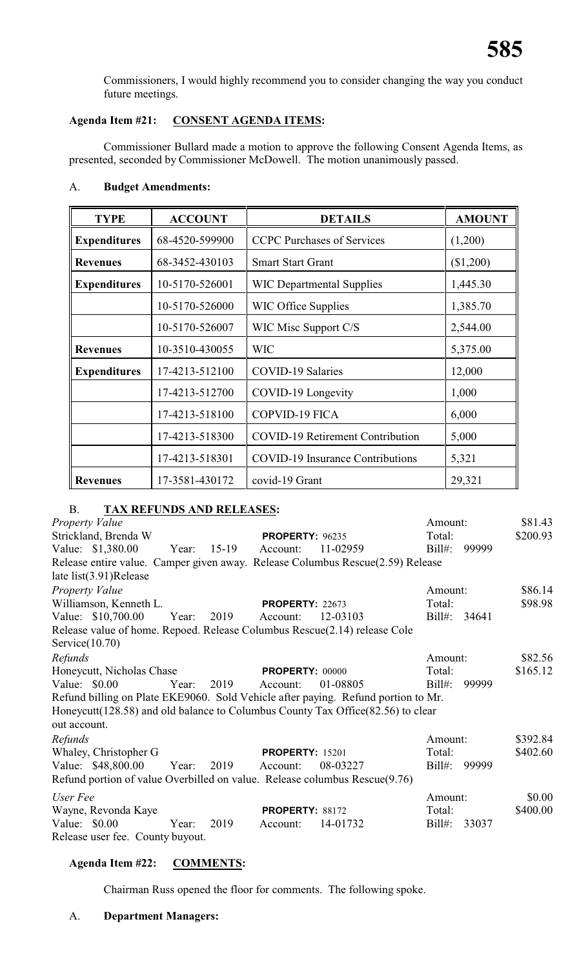Commissioners, I would highly recommend you to consider changing the way you conduct future meetings.

#### **Agenda Item #21: CONSENT AGENDA ITEMS:**

Commissioner Bullard made a motion to approve the following Consent Agenda Items, as presented, seconded by Commissioner McDowell. The motion unanimously passed.

#### A. **Budget Amendments:**

| <b>TYPE</b>         | <b>ACCOUNT</b> | <b>DETAILS</b>                          | <b>AMOUNT</b> |
|---------------------|----------------|-----------------------------------------|---------------|
| <b>Expenditures</b> | 68-4520-599900 | <b>CCPC</b> Purchases of Services       | (1,200)       |
| <b>Revenues</b>     | 68-3452-430103 | <b>Smart Start Grant</b>                | (\$1,200)     |
| <b>Expenditures</b> | 10-5170-526001 | <b>WIC Departmental Supplies</b>        | 1,445.30      |
|                     | 10-5170-526000 | <b>WIC Office Supplies</b>              | 1,385.70      |
|                     | 10-5170-526007 | WIC Misc Support C/S                    | 2,544.00      |
| <b>Revenues</b>     | 10-3510-430055 | <b>WIC</b>                              | 5,375.00      |
| <b>Expenditures</b> | 17-4213-512100 | COVID-19 Salaries                       | 12,000        |
|                     | 17-4213-512700 | COVID-19 Longevity                      | 1,000         |
|                     | 17-4213-518100 | <b>COPVID-19 FICA</b>                   | 6,000         |
|                     | 17-4213-518300 | <b>COVID-19 Retirement Contribution</b> | 5,000         |
|                     | 17-4213-518301 | <b>COVID-19 Insurance Contributions</b> | 5,321         |
| <b>Revenues</b>     | 17-3581-430172 | covid-19 Grant                          | 29,321        |

### B. **TAX REFUNDS AND RELEASES:**

| <b>Property Value</b>                                                             |       |         |                        |          | Amount:   |       | \$81.43  |
|-----------------------------------------------------------------------------------|-------|---------|------------------------|----------|-----------|-------|----------|
| Strickland, Brenda W                                                              |       |         | <b>PROPERTY: 96235</b> |          | Total:    |       | \$200.93 |
| Value: \$1,380.00                                                                 | Year: | $15-19$ | Account:               | 11-02959 | $Bill#$ : | 99999 |          |
| Release entire value. Camper given away. Release Columbus Rescue(2.59) Release    |       |         |                        |          |           |       |          |
| late $list(3.91)$ Release                                                         |       |         |                        |          |           |       |          |
| <b>Property Value</b>                                                             |       |         |                        |          | Amount:   |       | \$86.14  |
| Williamson, Kenneth L.                                                            |       |         | <b>PROPERTY: 22673</b> |          | Total:    |       | \$98.98  |
| Value: \$10,700.00                                                                | Year: | 2019    | Account:               | 12-03103 | Bill#:    | 34641 |          |
| Release value of home. Repoed. Release Columbus Rescue(2.14) release Cole         |       |         |                        |          |           |       |          |
| Service $(10.70)$                                                                 |       |         |                        |          |           |       |          |
| Refunds                                                                           |       |         |                        |          | Amount:   |       | \$82.56  |
| Honeycutt, Nicholas Chase                                                         |       |         | <b>PROPERTY: 00000</b> |          | Total:    |       | \$165.12 |
| Value: $$0.00$                                                                    | Year: | 2019    | Account:               | 01-08805 | $Bill#$ : | 99999 |          |
| Refund billing on Plate EKE9060. Sold Vehicle after paying. Refund portion to Mr. |       |         |                        |          |           |       |          |
| Honeycutt (128.58) and old balance to Columbus County Tax Office (82.56) to clear |       |         |                        |          |           |       |          |
| out account.                                                                      |       |         |                        |          |           |       |          |
| Refunds                                                                           |       |         |                        |          | Amount:   |       | \$392.84 |
| Whaley, Christopher G                                                             |       |         | <b>PROPERTY: 15201</b> |          | Total:    |       | \$402.60 |
| Value: \$48,800.00                                                                | Year: | 2019    | Account:               | 08-03227 | $Bill#$ : | 99999 |          |
| Refund portion of value Overbilled on value. Release columbus Rescue(9.76)        |       |         |                        |          |           |       |          |
| User Fee                                                                          |       |         |                        |          | Amount:   |       | \$0.00   |
| Wayne, Revonda Kaye                                                               |       |         | <b>PROPERTY: 88172</b> |          | Total:    |       | \$400.00 |
| Value: $$0.00$                                                                    | Year: | 2019    | Account:               | 14-01732 | $Bill#$ : | 33037 |          |
| Release user fee. County buyout.                                                  |       |         |                        |          |           |       |          |

#### **Agenda Item #22: COMMENTS:**

Chairman Russ opened the floor for comments. The following spoke.

#### A. **Department Managers:**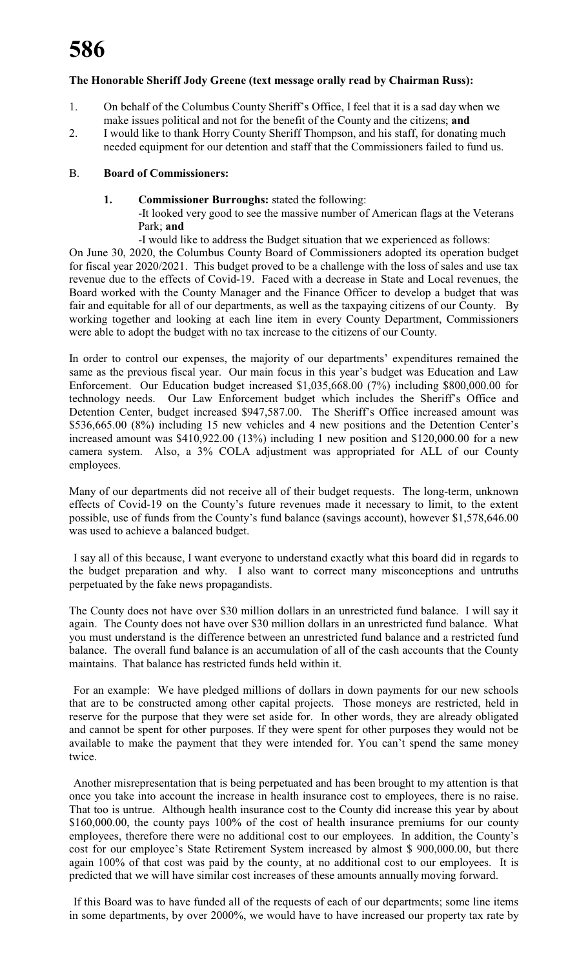#### **The Honorable Sheriff Jody Greene (text message orally read by Chairman Russ):**

- 1. On behalf of the Columbus County Sheriff's Office, I feel that it is a sad day when we make issues political and not for the benefit of the County and the citizens; **and**
- 2. I would like to thank Horry County Sheriff Thompson, and his staff, for donating much needed equipment for our detention and staff that the Commissioners failed to fund us.

#### B. **Board of Commissioners:**

**1. Commissioner Burroughs:** stated the following:

-It looked very good to see the massive number of American flags at the Veterans Park; **and**

-I would like to address the Budget situation that we experienced as follows:

On June 30, 2020, the Columbus County Board of Commissioners adopted its operation budget for fiscal year 2020/2021. This budget proved to be a challenge with the loss of sales and use tax revenue due to the effects of Covid-19. Faced with a decrease in State and Local revenues, the Board worked with the County Manager and the Finance Officer to develop a budget that was fair and equitable for all of our departments, as well as the taxpaying citizens of our County. By working together and looking at each line item in every County Department, Commissioners were able to adopt the budget with no tax increase to the citizens of our County.

In order to control our expenses, the majority of our departments' expenditures remained the same as the previous fiscal year. Our main focus in this year's budget was Education and Law Enforcement. Our Education budget increased \$1,035,668.00 (7%) including \$800,000.00 for technology needs. Our Law Enforcement budget which includes the Sheriff's Office and Detention Center, budget increased \$947,587.00. The Sheriff's Office increased amount was \$536,665.00 (8%) including 15 new vehicles and 4 new positions and the Detention Center's increased amount was \$410,922.00 (13%) including 1 new position and \$120,000.00 for a new camera system. Also, a 3% COLA adjustment was appropriated for ALL of our County employees.

Many of our departments did not receive all of their budget requests. The long-term, unknown effects of Covid-19 on the County's future revenues made it necessary to limit, to the extent possible, use of funds from the County's fund balance (savings account), however \$1,578,646.00 was used to achieve a balanced budget.

I say all of this because, I want everyone to understand exactly what this board did in regards to the budget preparation and why. I also want to correct many misconceptions and untruths perpetuated by the fake news propagandists.

The County does not have over \$30 million dollars in an unrestricted fund balance. I will say it again. The County does not have over \$30 million dollars in an unrestricted fund balance. What you must understand is the difference between an unrestricted fund balance and a restricted fund balance. The overall fund balance is an accumulation of all of the cash accounts that the County maintains. That balance has restricted funds held within it.

For an example: We have pledged millions of dollars in down payments for our new schools that are to be constructed among other capital projects. Those moneys are restricted, held in reserve for the purpose that they were set aside for. In other words, they are already obligated and cannot be spent for other purposes. If they were spent for other purposes they would not be available to make the payment that they were intended for. You can't spend the same money twice.

Another misrepresentation that is being perpetuated and has been brought to my attention is that once you take into account the increase in health insurance cost to employees, there is no raise. That too is untrue. Although health insurance cost to the County did increase this year by about \$160,000.00, the county pays 100% of the cost of health insurance premiums for our county employees, therefore there were no additional cost to our employees. In addition, the County's cost for our employee's State Retirement System increased by almost \$ 900,000.00, but there again 100% of that cost was paid by the county, at no additional cost to our employees. It is predicted that we will have similar cost increases of these amounts annually moving forward.

If this Board was to have funded all of the requests of each of our departments; some line items in some departments, by over 2000%, we would have to have increased our property tax rate by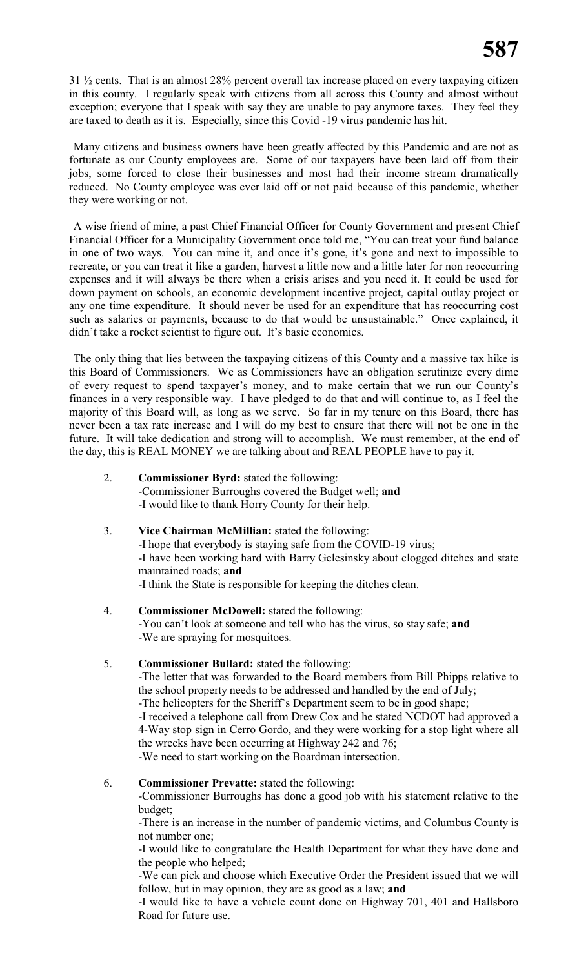31 ½ cents. That is an almost 28% percent overall tax increase placed on every taxpaying citizen in this county. I regularly speak with citizens from all across this County and almost without exception; everyone that I speak with say they are unable to pay anymore taxes. They feel they are taxed to death as it is. Especially, since this Covid -19 virus pandemic has hit.

Many citizens and business owners have been greatly affected by this Pandemic and are not as fortunate as our County employees are. Some of our taxpayers have been laid off from their jobs, some forced to close their businesses and most had their income stream dramatically reduced. No County employee was ever laid off or not paid because of this pandemic, whether they were working or not.

A wise friend of mine, a past Chief Financial Officer for County Government and present Chief Financial Officer for a Municipality Government once told me, "You can treat your fund balance in one of two ways. You can mine it, and once it's gone, it's gone and next to impossible to recreate, or you can treat it like a garden, harvest a little now and a little later for non reoccurring expenses and it will always be there when a crisis arises and you need it. It could be used for down payment on schools, an economic development incentive project, capital outlay project or any one time expenditure. It should never be used for an expenditure that has reoccurring cost such as salaries or payments, because to do that would be unsustainable." Once explained, it didn't take a rocket scientist to figure out. It's basic economics.

The only thing that lies between the taxpaying citizens of this County and a massive tax hike is this Board of Commissioners. We as Commissioners have an obligation scrutinize every dime of every request to spend taxpayer's money, and to make certain that we run our County's finances in a very responsible way. I have pledged to do that and will continue to, as I feel the majority of this Board will, as long as we serve. So far in my tenure on this Board, there has never been a tax rate increase and I will do my best to ensure that there will not be one in the future. It will take dedication and strong will to accomplish. We must remember, at the end of the day, this is REAL MONEY we are talking about and REAL PEOPLE have to pay it.

- 2. **Commissioner Byrd:** stated the following: -Commissioner Burroughs covered the Budget well; **and** -I would like to thank Horry County for their help.
- 3. **Vice Chairman McMillian:** stated the following: -I hope that everybody is staying safe from the COVID-19 virus; -I have been working hard with Barry Gelesinsky about clogged ditches and state maintained roads; **and** -I think the State is responsible for keeping the ditches clean.
- 4. **Commissioner McDowell:** stated the following: -You can't look at someone and tell who has the virus, so stay safe; **and** -We are spraying for mosquitoes.
- 5. **Commissioner Bullard:** stated the following:

-The letter that was forwarded to the Board members from Bill Phipps relative to the school property needs to be addressed and handled by the end of July; -The helicopters for the Sheriff's Department seem to be in good shape; -I received a telephone call from Drew Cox and he stated NCDOT had approved a 4-Way stop sign in Cerro Gordo, and they were working for a stop light where all the wrecks have been occurring at Highway 242 and 76; -We need to start working on the Boardman intersection.

6. **Commissioner Prevatte:** stated the following:

-Commissioner Burroughs has done a good job with his statement relative to the budget;

-There is an increase in the number of pandemic victims, and Columbus County is not number one;

-I would like to congratulate the Health Department for what they have done and the people who helped;

-We can pick and choose which Executive Order the President issued that we will follow, but in may opinion, they are as good as a law; **and**

-I would like to have a vehicle count done on Highway 701, 401 and Hallsboro Road for future use.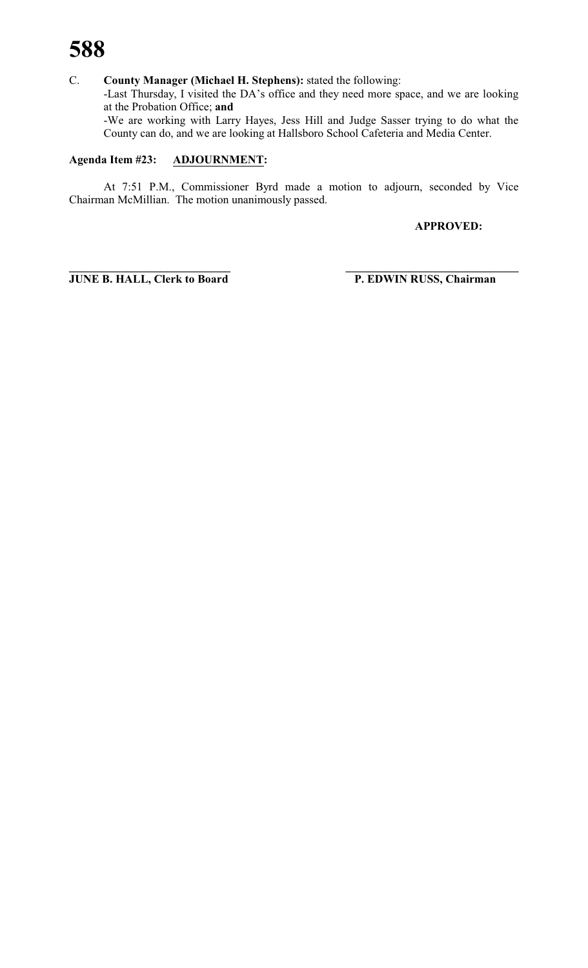C. **County Manager (Michael H. Stephens):** stated the following: -Last Thursday, I visited the DA's office and they need more space, and we are looking at the Probation Office; **and** -We are working with Larry Hayes, Jess Hill and Judge Sasser trying to do what the County can do, and we are looking at Hallsboro School Cafeteria and Media Center.

#### **Agenda Item #23: ADJOURNMENT:**

At 7:51 P.M., Commissioner Byrd made a motion to adjourn, seconded by Vice Chairman McMillian. The motion unanimously passed.

**APPROVED:**

**\_\_\_\_\_\_\_\_\_\_\_\_\_\_\_\_\_\_\_\_\_\_\_\_\_\_\_\_ \_\_\_\_\_\_\_\_\_\_\_\_\_\_\_\_\_\_\_\_\_\_\_\_\_\_\_\_\_\_ JUNE B. HALL, Clerk to Board P. EDWIN RUSS, Chairman**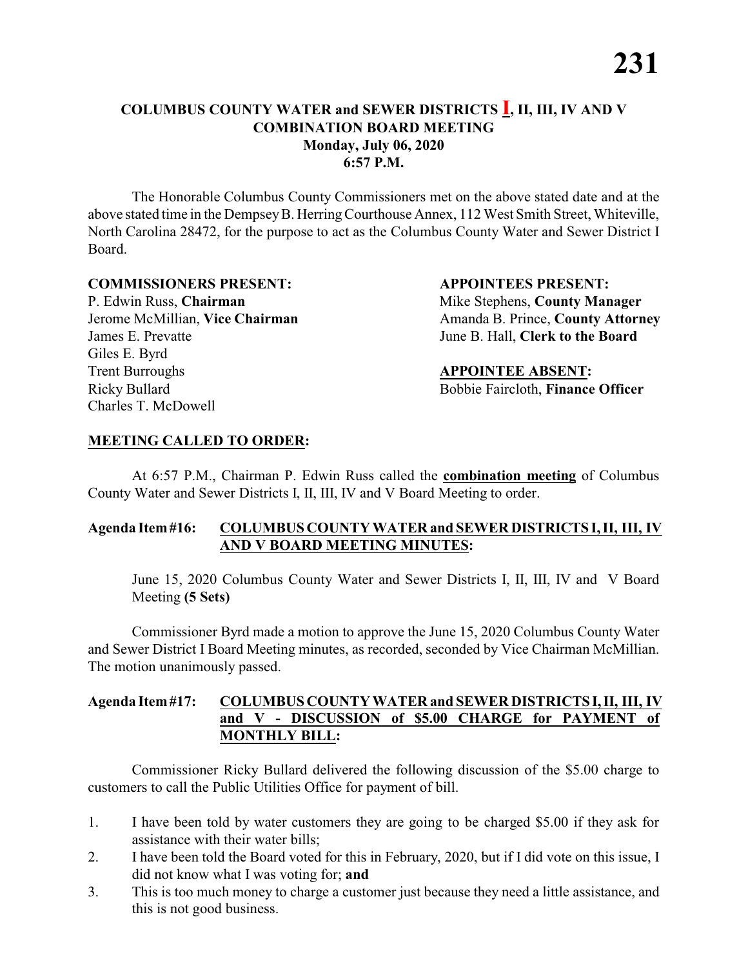#### **COLUMBUS COUNTY WATER and SEWER DISTRICTS I, II, III, IV AND V COMBINATION BOARD MEETING Monday, July 06, 2020 6:57 P.M.**

The Honorable Columbus County Commissioners met on the above stated date and at the above stated time in the DempseyB. HerringCourthouse Annex, 112 West Smith Street, Whiteville, North Carolina 28472, for the purpose to act as the Columbus County Water and Sewer District I Board.

#### **COMMISSIONERS PRESENT: APPOINTEES PRESENT:**

P. Edwin Russ, **Chairman** Mike Stephens, **County Manager** James E. Prevatte June B. Hall, **Clerk to the Board** Giles E. Byrd Trent Burroughs **APPOINTEE ABSENT:** Ricky Bullard **Bobbie Faircloth, Finance Officer** Charles T. McDowell

Jerome McMillian, **Vice Chairman** Amanda B. Prince, **County Attorney** 

#### **MEETING CALLED TO ORDER:**

At 6:57 P.M., Chairman P. Edwin Russ called the **combination meeting** of Columbus County Water and Sewer Districts I, II, III, IV and V Board Meeting to order.

#### **Agenda Item#16: COLUMBUS COUNTY WATER and SEWER DISTRICTS I, II, III, IV AND V BOARD MEETING MINUTES:**

June 15, 2020 Columbus County Water and Sewer Districts I, II, III, IV and V Board Meeting **(5 Sets)**

Commissioner Byrd made a motion to approve the June 15, 2020 Columbus County Water and Sewer District I Board Meeting minutes, as recorded, seconded by Vice Chairman McMillian. The motion unanimously passed.

#### **Agenda Item#17: COLUMBUS COUNTY WATER and SEWER DISTRICTS I,II, III, IV and V - DISCUSSION of \$5.00 CHARGE for PAYMENT of MONTHLY BILL:**

- 1. I have been told by water customers they are going to be charged \$5.00 if they ask for assistance with their water bills;
- 2. I have been told the Board voted for this in February, 2020, but if I did vote on this issue, I did not know what I was voting for; **and**
- 3. This is too much money to charge a customer just because they need a little assistance, and this is not good business.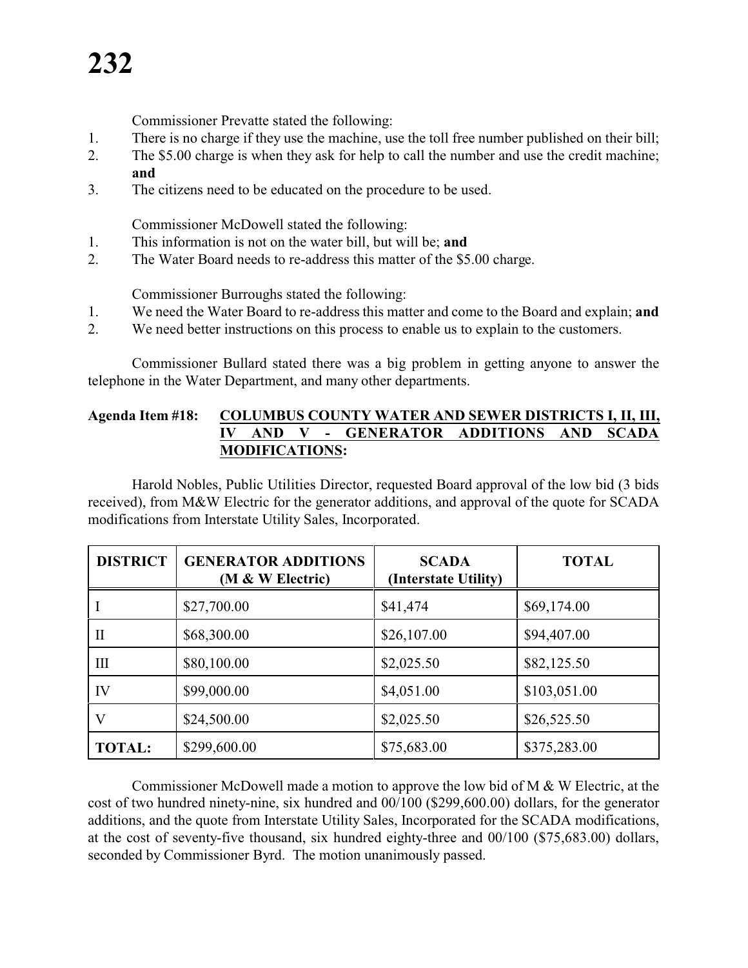## **232**

Commissioner Prevatte stated the following:

- 1. There is no charge if they use the machine, use the toll free number published on their bill;
- 2. The \$5.00 charge is when they ask for help to call the number and use the credit machine; **and**
- 3. The citizens need to be educated on the procedure to be used.

Commissioner McDowell stated the following:

- 1. This information is not on the water bill, but will be; **and**
- 2. The Water Board needs to re-address this matter of the \$5.00 charge.

Commissioner Burroughs stated the following:

- 1. We need the Water Board to re-address this matter and come to the Board and explain; **and**
- 2. We need better instructions on this process to enable us to explain to the customers.

Commissioner Bullard stated there was a big problem in getting anyone to answer the telephone in the Water Department, and many other departments.

#### **Agenda Item #18: COLUMBUS COUNTY WATER AND SEWER DISTRICTS I, II, III, IV AND V - GENERATOR ADDITIONS AND SCADA MODIFICATIONS:**

Harold Nobles, Public Utilities Director, requested Board approval of the low bid (3 bids received), from M&W Electric for the generator additions, and approval of the quote for SCADA modifications from Interstate Utility Sales, Incorporated.

| <b>DISTRICT</b>    | <b>GENERATOR ADDITIONS</b><br>(M & W Electric) | <b>SCADA</b><br>(Interstate Utility) | <b>TOTAL</b> |
|--------------------|------------------------------------------------|--------------------------------------|--------------|
|                    | \$27,700.00                                    | \$41,474                             | \$69,174.00  |
| П                  | \$68,300.00                                    | \$26,107.00                          | \$94,407.00  |
| $\mathop{\rm III}$ | \$80,100.00                                    | \$2,025.50                           | \$82,125.50  |
| IV                 | \$99,000.00                                    | \$4,051.00                           | \$103,051.00 |
| V                  | \$24,500.00                                    | \$2,025.50                           | \$26,525.50  |
| <b>TOTAL:</b>      | \$299,600.00                                   | \$75,683.00                          | \$375,283.00 |

Commissioner McDowell made a motion to approve the low bid of M & W Electric, at the cost of two hundred ninety-nine, six hundred and 00/100 (\$299,600.00) dollars, for the generator additions, and the quote from Interstate Utility Sales, Incorporated for the SCADA modifications, at the cost of seventy-five thousand, six hundred eighty-three and 00/100 (\$75,683.00) dollars, seconded by Commissioner Byrd. The motion unanimously passed.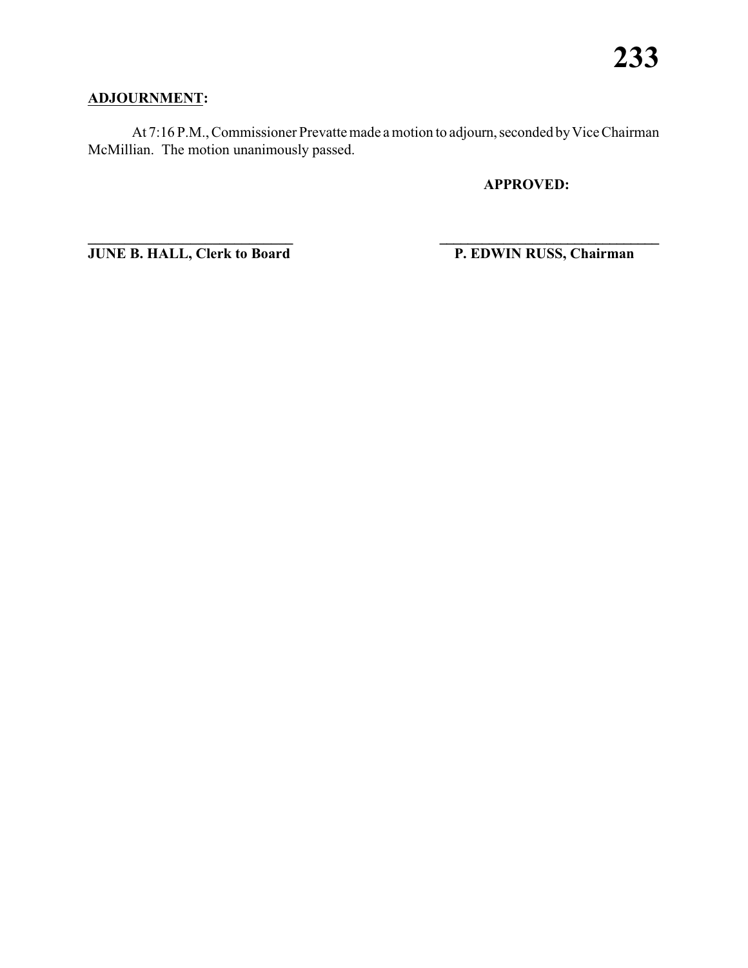#### **ADJOURNMENT:**

At 7:16 P.M., Commissioner Prevatte made a motion to adjourn, seconded by Vice Chairman McMillian. The motion unanimously passed.

**APPROVED:**

**JUNE B. HALL, Clerk to Board P. EDWIN RUSS, Chairman** 

**\_\_\_\_\_\_\_\_\_\_\_\_\_\_\_\_\_\_\_\_\_\_\_\_\_\_\_\_ \_\_\_\_\_\_\_\_\_\_\_\_\_\_\_\_\_\_\_\_\_\_\_\_\_\_\_\_\_\_\_**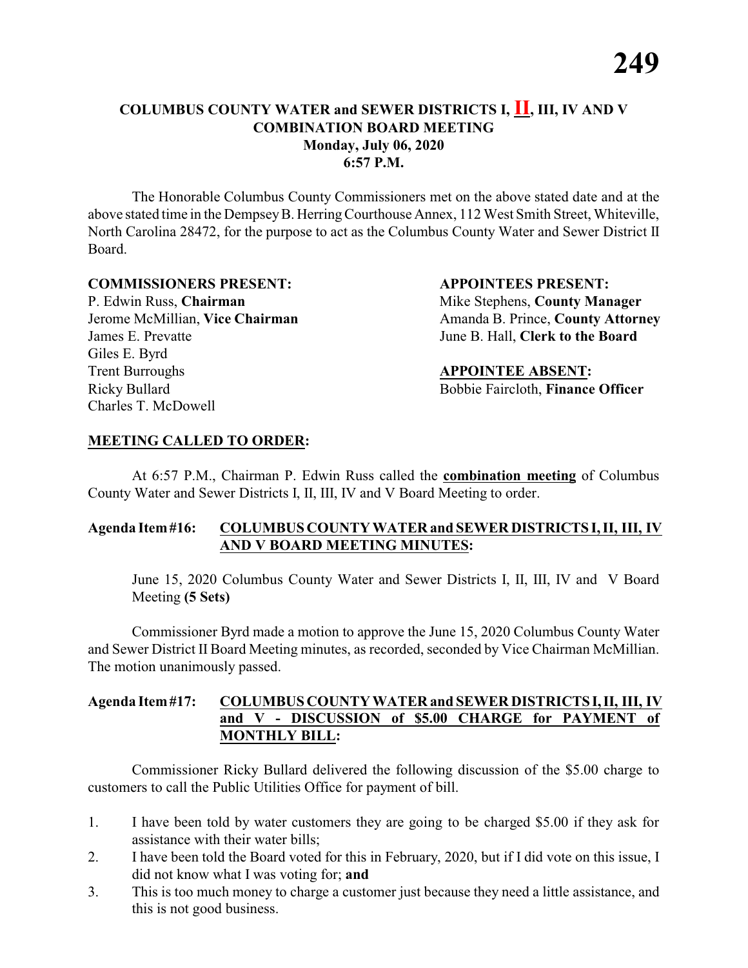#### **COLUMBUS COUNTY WATER and SEWER DISTRICTS I, II, III, IV AND V COMBINATION BOARD MEETING Monday, July 06, 2020 6:57 P.M.**

The Honorable Columbus County Commissioners met on the above stated date and at the above stated time in the DempseyB. HerringCourthouse Annex, 112 West Smith Street, Whiteville, North Carolina 28472, for the purpose to act as the Columbus County Water and Sewer District II Board.

#### **COMMISSIONERS PRESENT: APPOINTEES PRESENT:**

P. Edwin Russ, **Chairman** Mike Stephens, **County Manager** James E. Prevatte June B. Hall, **Clerk to the Board** Giles E. Byrd Trent Burroughs **APPOINTEE ABSENT:** Ricky Bullard **Bobbie Faircloth, Finance Officer** Charles T. McDowell

Jerome McMillian, Vice Chairman Amanda B. Prince, County Attorney

#### **MEETING CALLED TO ORDER:**

At 6:57 P.M., Chairman P. Edwin Russ called the **combination meeting** of Columbus County Water and Sewer Districts I, II, III, IV and V Board Meeting to order.

#### **Agenda Item#16: COLUMBUS COUNTY WATER and SEWER DISTRICTS I, II, III, IV AND V BOARD MEETING MINUTES:**

June 15, 2020 Columbus County Water and Sewer Districts I, II, III, IV and V Board Meeting **(5 Sets)**

Commissioner Byrd made a motion to approve the June 15, 2020 Columbus County Water and Sewer District II Board Meeting minutes, as recorded, seconded by Vice Chairman McMillian. The motion unanimously passed.

#### **Agenda Item#17: COLUMBUS COUNTY WATER and SEWER DISTRICTS I,II, III, IV and V - DISCUSSION of \$5.00 CHARGE for PAYMENT of MONTHLY BILL:**

- 1. I have been told by water customers they are going to be charged \$5.00 if they ask for assistance with their water bills;
- 2. I have been told the Board voted for this in February, 2020, but if I did vote on this issue, I did not know what I was voting for; **and**
- 3. This is too much money to charge a customer just because they need a little assistance, and this is not good business.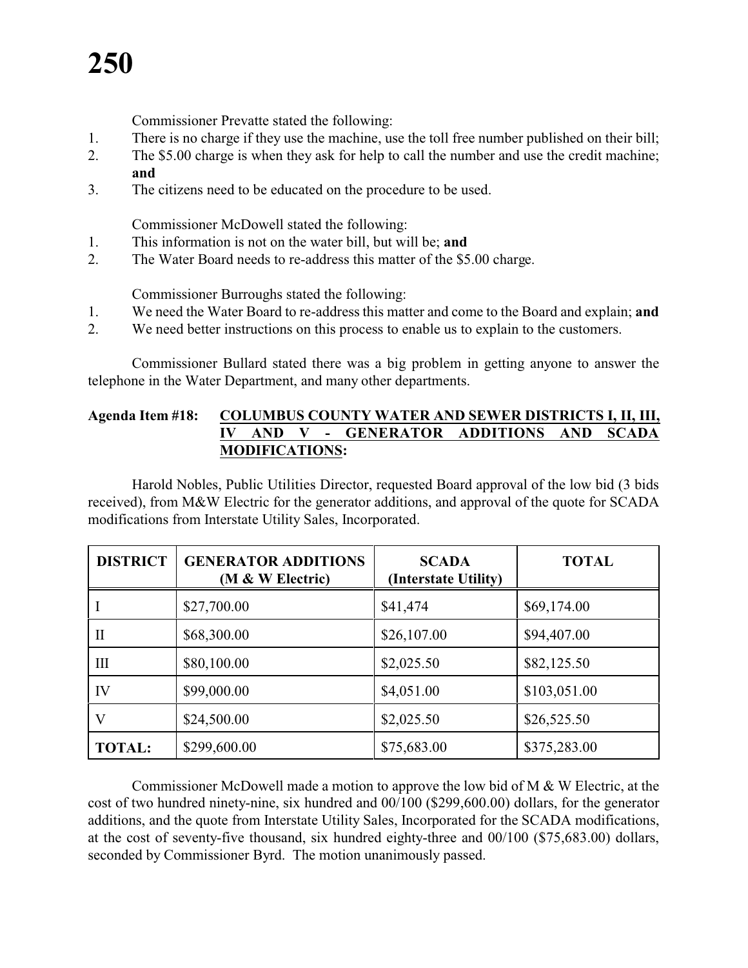# **250**

Commissioner Prevatte stated the following:

- 1. There is no charge if they use the machine, use the toll free number published on their bill;
- 2. The \$5.00 charge is when they ask for help to call the number and use the credit machine; **and**
- 3. The citizens need to be educated on the procedure to be used.

Commissioner McDowell stated the following:

- 1. This information is not on the water bill, but will be; **and**
- 2. The Water Board needs to re-address this matter of the \$5.00 charge.

Commissioner Burroughs stated the following:

- 1. We need the Water Board to re-address this matter and come to the Board and explain; **and**
- 2. We need better instructions on this process to enable us to explain to the customers.

Commissioner Bullard stated there was a big problem in getting anyone to answer the telephone in the Water Department, and many other departments.

#### **Agenda Item #18: COLUMBUS COUNTY WATER AND SEWER DISTRICTS I, II, III, IV AND V - GENERATOR ADDITIONS AND SCADA MODIFICATIONS:**

Harold Nobles, Public Utilities Director, requested Board approval of the low bid (3 bids received), from M&W Electric for the generator additions, and approval of the quote for SCADA modifications from Interstate Utility Sales, Incorporated.

| <b>DISTRICT</b>    | <b>GENERATOR ADDITIONS</b><br>(M & W Electric) | <b>SCADA</b><br>(Interstate Utility) | <b>TOTAL</b> |
|--------------------|------------------------------------------------|--------------------------------------|--------------|
|                    | \$27,700.00                                    | \$41,474                             | \$69,174.00  |
| П                  | \$68,300.00                                    | \$26,107.00                          | \$94,407.00  |
| $\mathop{\rm III}$ | \$80,100.00                                    | \$2,025.50                           | \$82,125.50  |
| IV                 | \$99,000.00                                    | \$4,051.00                           | \$103,051.00 |
| V                  | \$24,500.00                                    | \$2,025.50                           | \$26,525.50  |
| <b>TOTAL:</b>      | \$299,600.00                                   | \$75,683.00                          | \$375,283.00 |

Commissioner McDowell made a motion to approve the low bid of M & W Electric, at the cost of two hundred ninety-nine, six hundred and 00/100 (\$299,600.00) dollars, for the generator additions, and the quote from Interstate Utility Sales, Incorporated for the SCADA modifications, at the cost of seventy-five thousand, six hundred eighty-three and 00/100 (\$75,683.00) dollars, seconded by Commissioner Byrd. The motion unanimously passed.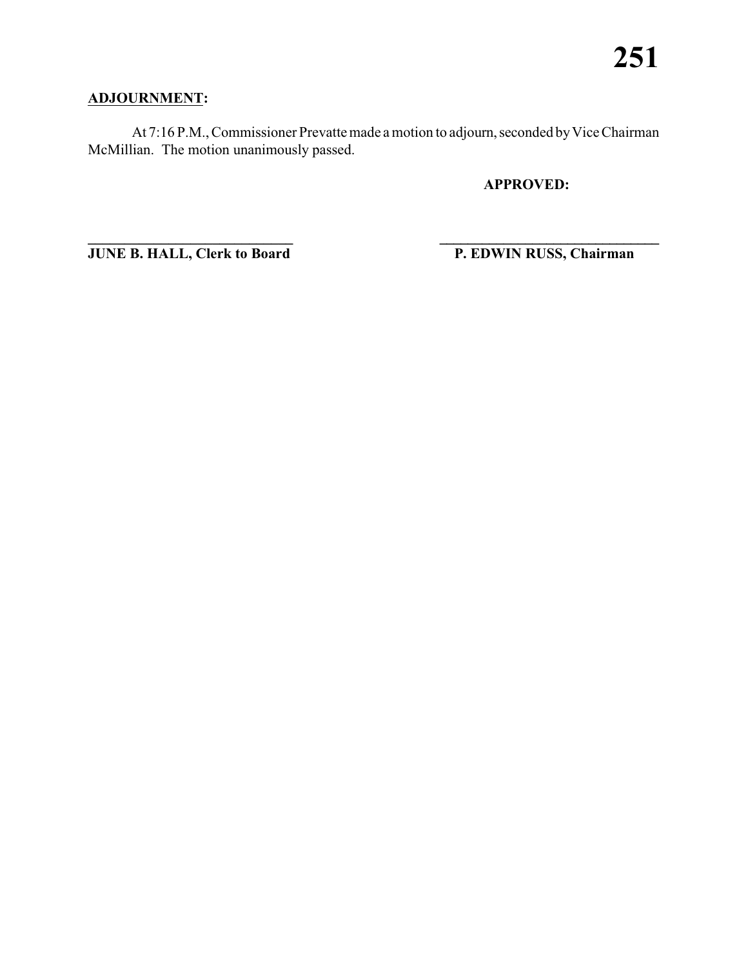#### **ADJOURNMENT:**

At 7:16 P.M., Commissioner Prevatte made a motion to adjourn, seconded by Vice Chairman McMillian. The motion unanimously passed.

**APPROVED:**

**JUNE B. HALL, Clerk to Board P. EDWIN RUSS, Chairman** 

**\_\_\_\_\_\_\_\_\_\_\_\_\_\_\_\_\_\_\_\_\_\_\_\_\_\_\_\_ \_\_\_\_\_\_\_\_\_\_\_\_\_\_\_\_\_\_\_\_\_\_\_\_\_\_\_\_\_\_\_**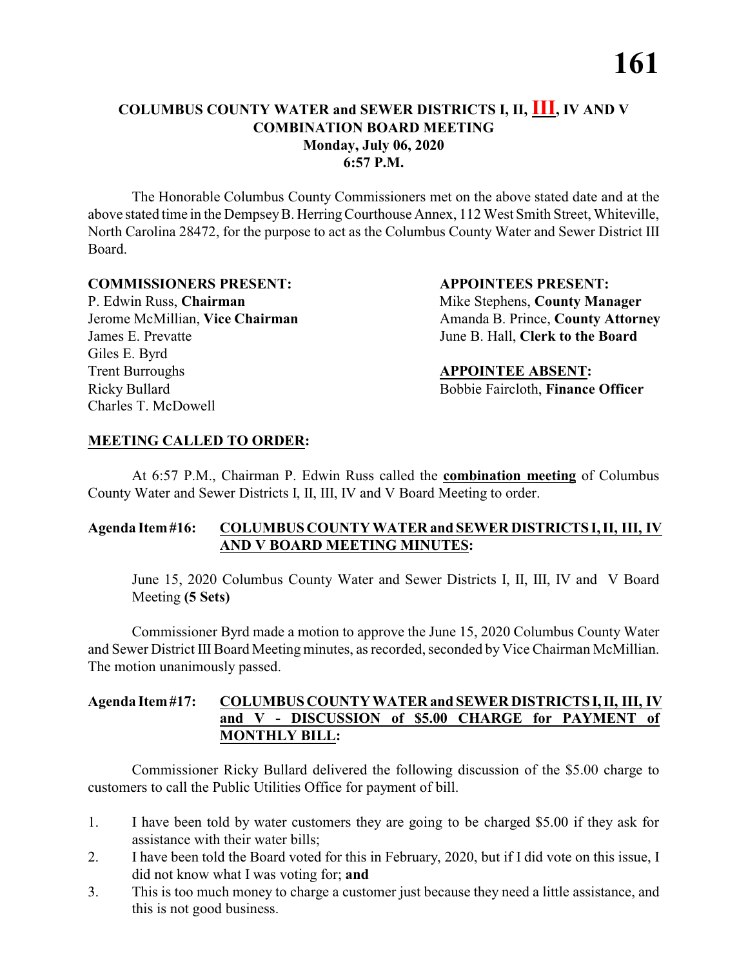#### **COLUMBUS COUNTY WATER and SEWER DISTRICTS I, II, III, IV AND V COMBINATION BOARD MEETING Monday, July 06, 2020 6:57 P.M.**

The Honorable Columbus County Commissioners met on the above stated date and at the above stated time in the DempseyB. HerringCourthouse Annex, 112 West Smith Street, Whiteville, North Carolina 28472, for the purpose to act as the Columbus County Water and Sewer District III Board.

#### **COMMISSIONERS PRESENT: APPOINTEES PRESENT:**

P. Edwin Russ, **Chairman** Mike Stephens, **County Manager** James E. Prevatte June B. Hall, **Clerk to the Board** Giles E. Byrd Trent Burroughs **APPOINTEE ABSENT:** Ricky Bullard Bobbie Faircloth, **Finance Officer** Charles T. McDowell

Jerome McMillian, **Vice Chairman** Amanda B. Prince, **County Attorney** 

#### **MEETING CALLED TO ORDER:**

At 6:57 P.M., Chairman P. Edwin Russ called the **combination meeting** of Columbus County Water and Sewer Districts I, II, III, IV and V Board Meeting to order.

#### **Agenda Item#16: COLUMBUS COUNTY WATER and SEWER DISTRICTS I, II, III, IV AND V BOARD MEETING MINUTES:**

June 15, 2020 Columbus County Water and Sewer Districts I, II, III, IV and V Board Meeting **(5 Sets)**

Commissioner Byrd made a motion to approve the June 15, 2020 Columbus County Water and Sewer District III Board Meeting minutes, as recorded, seconded by Vice Chairman McMillian. The motion unanimously passed.

#### **Agenda Item#17: COLUMBUS COUNTY WATER and SEWER DISTRICTS I,II, III, IV and V - DISCUSSION of \$5.00 CHARGE for PAYMENT of MONTHLY BILL:**

- 1. I have been told by water customers they are going to be charged \$5.00 if they ask for assistance with their water bills;
- 2. I have been told the Board voted for this in February, 2020, but if I did vote on this issue, I did not know what I was voting for; **and**
- 3. This is too much money to charge a customer just because they need a little assistance, and this is not good business.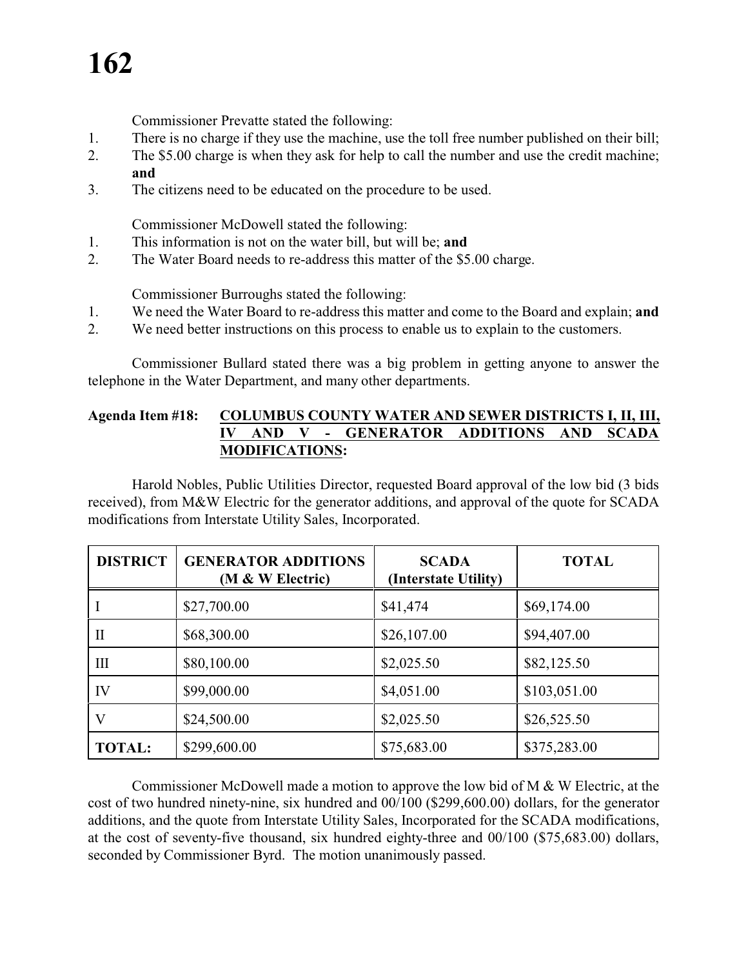# **162**

Commissioner Prevatte stated the following:

- 1. There is no charge if they use the machine, use the toll free number published on their bill;
- 2. The \$5.00 charge is when they ask for help to call the number and use the credit machine; **and**
- 3. The citizens need to be educated on the procedure to be used.

Commissioner McDowell stated the following:

- 1. This information is not on the water bill, but will be; **and**
- 2. The Water Board needs to re-address this matter of the \$5.00 charge.

Commissioner Burroughs stated the following:

- 1. We need the Water Board to re-address this matter and come to the Board and explain; **and**
- 2. We need better instructions on this process to enable us to explain to the customers.

Commissioner Bullard stated there was a big problem in getting anyone to answer the telephone in the Water Department, and many other departments.

#### **Agenda Item #18: COLUMBUS COUNTY WATER AND SEWER DISTRICTS I, II, III, IV AND V - GENERATOR ADDITIONS AND SCADA MODIFICATIONS:**

Harold Nobles, Public Utilities Director, requested Board approval of the low bid (3 bids received), from M&W Electric for the generator additions, and approval of the quote for SCADA modifications from Interstate Utility Sales, Incorporated.

| <b>DISTRICT</b>    | <b>GENERATOR ADDITIONS</b><br>(M & W Electric) | <b>SCADA</b><br>(Interstate Utility) | <b>TOTAL</b> |
|--------------------|------------------------------------------------|--------------------------------------|--------------|
|                    | \$27,700.00                                    | \$41,474                             | \$69,174.00  |
| П                  | \$68,300.00                                    | \$26,107.00                          | \$94,407.00  |
| $\mathop{\rm III}$ | \$80,100.00                                    | \$2,025.50                           | \$82,125.50  |
| IV                 | \$99,000.00                                    | \$4,051.00                           | \$103,051.00 |
| V                  | \$24,500.00                                    | \$2,025.50                           | \$26,525.50  |
| <b>TOTAL:</b>      | \$299,600.00                                   | \$75,683.00                          | \$375,283.00 |

Commissioner McDowell made a motion to approve the low bid of M & W Electric, at the cost of two hundred ninety-nine, six hundred and 00/100 (\$299,600.00) dollars, for the generator additions, and the quote from Interstate Utility Sales, Incorporated for the SCADA modifications, at the cost of seventy-five thousand, six hundred eighty-three and 00/100 (\$75,683.00) dollars, seconded by Commissioner Byrd. The motion unanimously passed.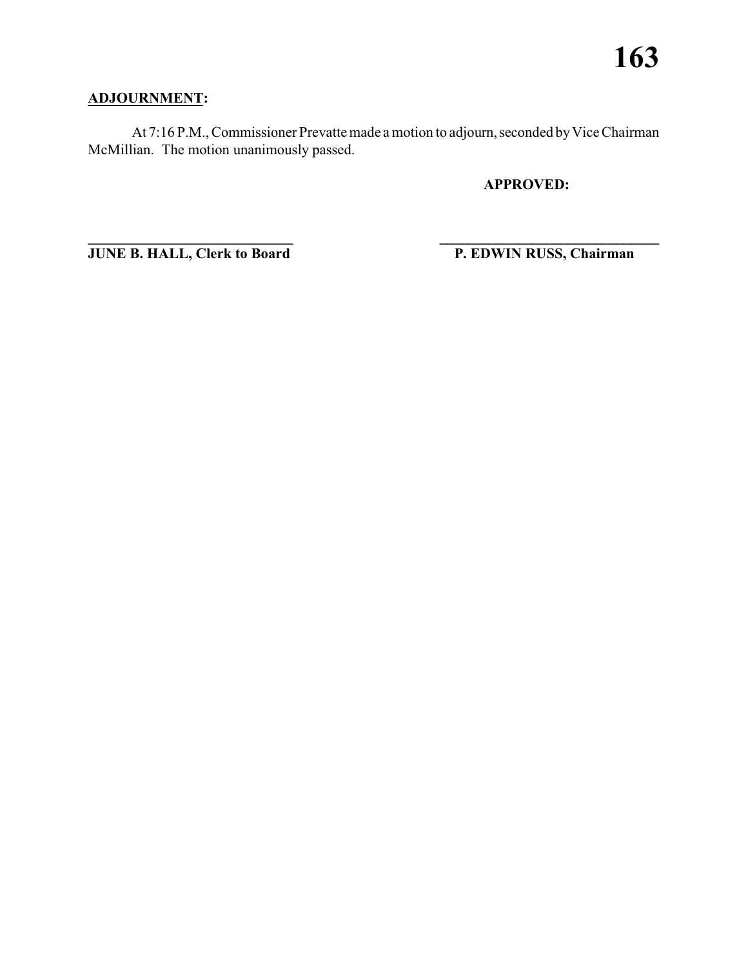#### **ADJOURNMENT:**

At 7:16 P.M., Commissioner Prevatte made a motion to adjourn, seconded by Vice Chairman McMillian. The motion unanimously passed.

**APPROVED:**

**JUNE B. HALL, Clerk to Board P. EDWIN RUSS, Chairman** 

**\_\_\_\_\_\_\_\_\_\_\_\_\_\_\_\_\_\_\_\_\_\_\_\_\_\_\_\_ \_\_\_\_\_\_\_\_\_\_\_\_\_\_\_\_\_\_\_\_\_\_\_\_\_\_\_\_\_\_\_**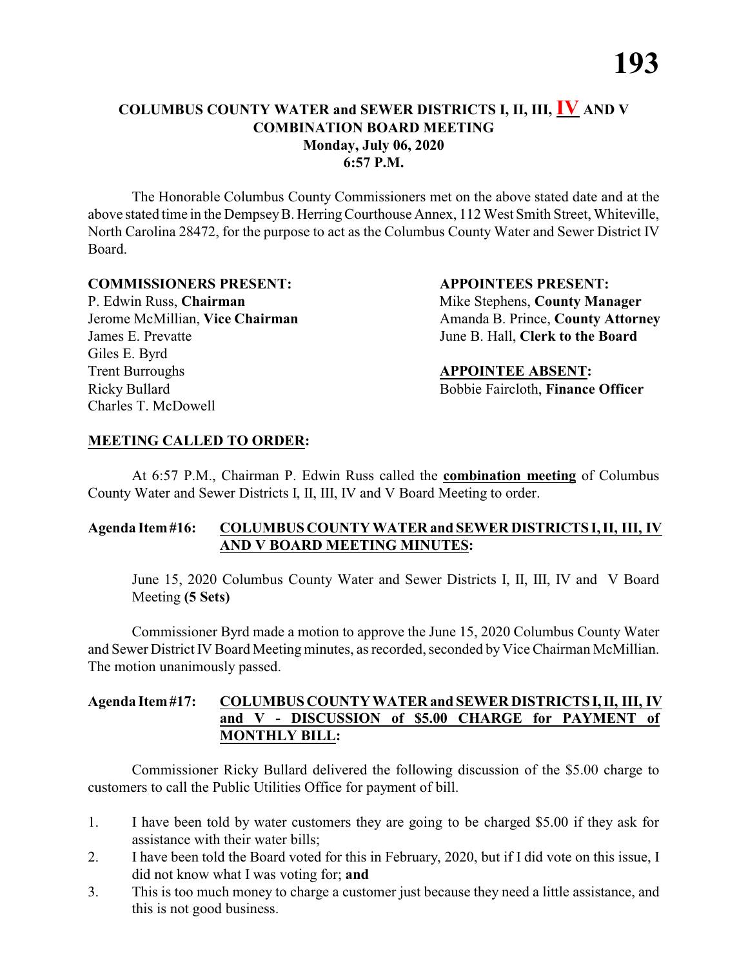#### **COLUMBUS COUNTY WATER and SEWER DISTRICTS I, II, III, IV AND V COMBINATION BOARD MEETING Monday, July 06, 2020 6:57 P.M.**

The Honorable Columbus County Commissioners met on the above stated date and at the above stated time in the DempseyB. HerringCourthouse Annex, 112 West Smith Street, Whiteville, North Carolina 28472, for the purpose to act as the Columbus County Water and Sewer District IV Board.

#### **COMMISSIONERS PRESENT: APPOINTEES PRESENT:**

P. Edwin Russ, **Chairman** Mike Stephens, **County Manager** James E. Prevatte June B. Hall, **Clerk to the Board** Giles E. Byrd Trent Burroughs **APPOINTEE ABSENT:** Ricky Bullard **Bobbie Faircloth, Finance Officer** Charles T. McDowell

Jerome McMillian, **Vice Chairman** Amanda B. Prince, **County Attorney** 

#### **MEETING CALLED TO ORDER:**

At 6:57 P.M., Chairman P. Edwin Russ called the **combination meeting** of Columbus County Water and Sewer Districts I, II, III, IV and V Board Meeting to order.

#### **Agenda Item#16: COLUMBUS COUNTY WATER and SEWER DISTRICTS I, II, III, IV AND V BOARD MEETING MINUTES:**

June 15, 2020 Columbus County Water and Sewer Districts I, II, III, IV and V Board Meeting **(5 Sets)**

Commissioner Byrd made a motion to approve the June 15, 2020 Columbus County Water and Sewer District IV Board Meeting minutes, as recorded, seconded by Vice Chairman McMillian. The motion unanimously passed.

#### **Agenda Item#17: COLUMBUS COUNTY WATER and SEWER DISTRICTS I,II, III, IV and V - DISCUSSION of \$5.00 CHARGE for PAYMENT of MONTHLY BILL:**

- 1. I have been told by water customers they are going to be charged \$5.00 if they ask for assistance with their water bills;
- 2. I have been told the Board voted for this in February, 2020, but if I did vote on this issue, I did not know what I was voting for; **and**
- 3. This is too much money to charge a customer just because they need a little assistance, and this is not good business.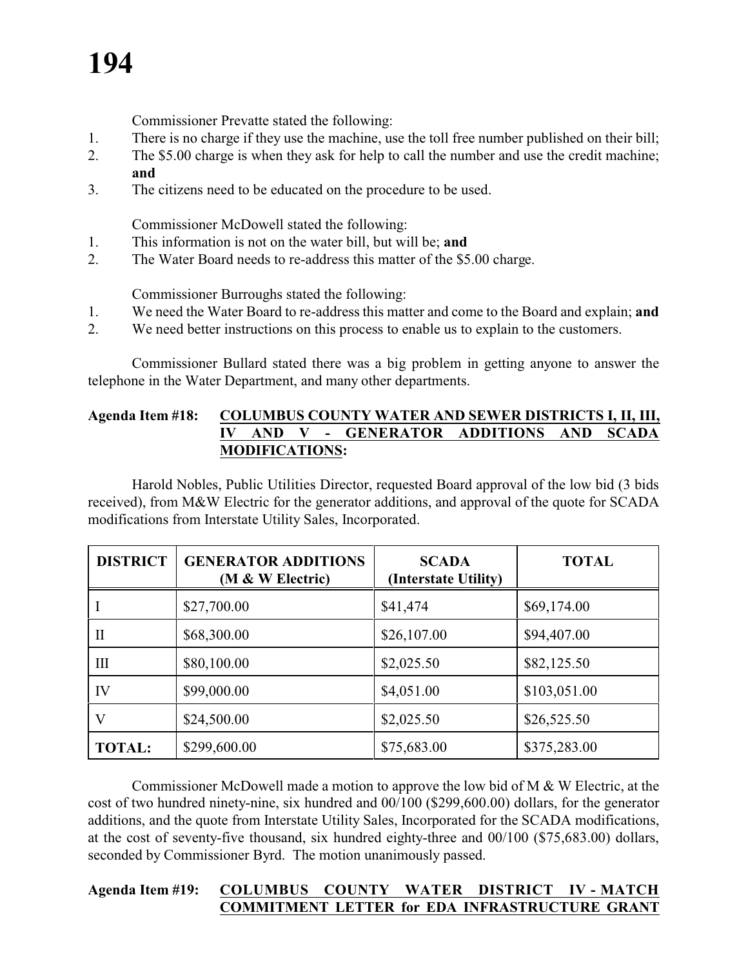## **194**

Commissioner Prevatte stated the following:

- 1. There is no charge if they use the machine, use the toll free number published on their bill;
- 2. The \$5.00 charge is when they ask for help to call the number and use the credit machine; **and**
- 3. The citizens need to be educated on the procedure to be used.

Commissioner McDowell stated the following:

- 1. This information is not on the water bill, but will be; **and**
- 2. The Water Board needs to re-address this matter of the \$5.00 charge.

Commissioner Burroughs stated the following:

- 1. We need the Water Board to re-address this matter and come to the Board and explain; **and**
- 2. We need better instructions on this process to enable us to explain to the customers.

Commissioner Bullard stated there was a big problem in getting anyone to answer the telephone in the Water Department, and many other departments.

#### **Agenda Item #18: COLUMBUS COUNTY WATER AND SEWER DISTRICTS I, II, III, IV AND V - GENERATOR ADDITIONS AND SCADA MODIFICATIONS:**

Harold Nobles, Public Utilities Director, requested Board approval of the low bid (3 bids received), from M&W Electric for the generator additions, and approval of the quote for SCADA modifications from Interstate Utility Sales, Incorporated.

| <b>DISTRICT</b> | <b>GENERATOR ADDITIONS</b><br>(M & W Electric) | <b>SCADA</b><br>(Interstate Utility) | <b>TOTAL</b> |
|-----------------|------------------------------------------------|--------------------------------------|--------------|
|                 | \$27,700.00                                    | \$41,474                             | \$69,174.00  |
| П               | \$68,300.00                                    | \$26,107.00                          | \$94,407.00  |
| $\mathbf{I}$    | \$80,100.00                                    | \$2,025.50                           | \$82,125.50  |
| IV              | \$99,000.00                                    | \$4,051.00                           | \$103,051.00 |
| V               | \$24,500.00                                    | \$2,025.50                           | \$26,525.50  |
| <b>TOTAL:</b>   | \$299,600.00                                   | \$75,683.00                          | \$375,283.00 |

Commissioner McDowell made a motion to approve the low bid of M & W Electric, at the cost of two hundred ninety-nine, six hundred and 00/100 (\$299,600.00) dollars, for the generator additions, and the quote from Interstate Utility Sales, Incorporated for the SCADA modifications, at the cost of seventy-five thousand, six hundred eighty-three and 00/100 (\$75,683.00) dollars, seconded by Commissioner Byrd. The motion unanimously passed.

#### **Agenda Item #19: COLUMBUS COUNTY WATER DISTRICT IV - MATCH COMMITMENT LETTER for EDA INFRASTRUCTURE GRANT**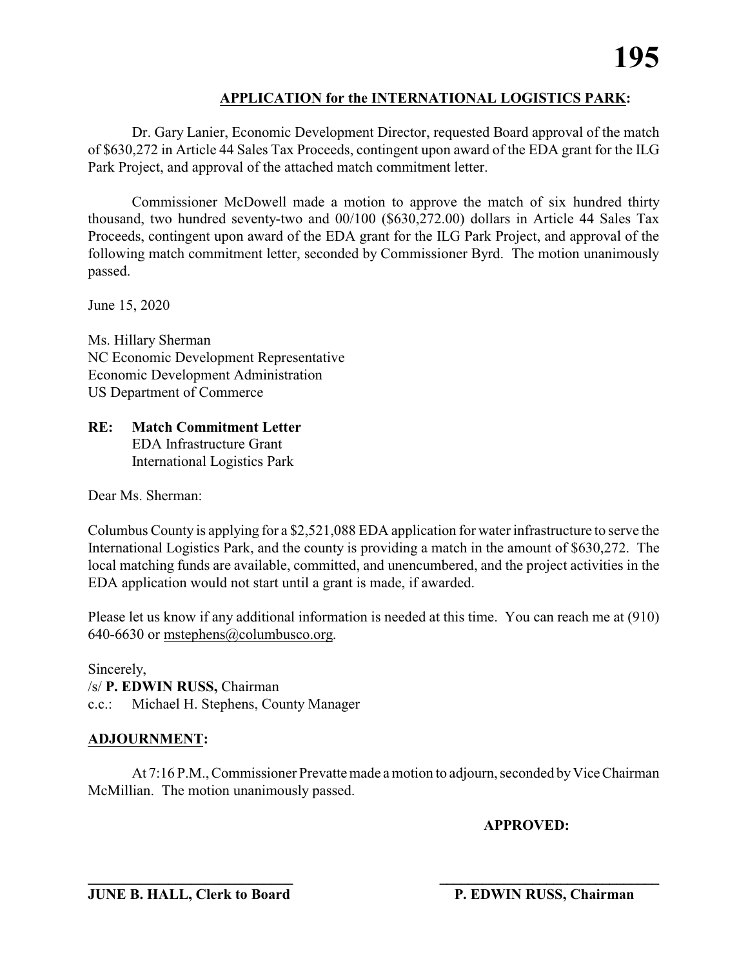#### **APPLICATION for the INTERNATIONAL LOGISTICS PARK:**

Dr. Gary Lanier, Economic Development Director, requested Board approval of the match of \$630,272 in Article 44 Sales Tax Proceeds, contingent upon award of the EDA grant for the ILG Park Project, and approval of the attached match commitment letter.

Commissioner McDowell made a motion to approve the match of six hundred thirty thousand, two hundred seventy-two and 00/100 (\$630,272.00) dollars in Article 44 Sales Tax Proceeds, contingent upon award of the EDA grant for the ILG Park Project, and approval of the following match commitment letter, seconded by Commissioner Byrd. The motion unanimously passed.

June 15, 2020

Ms. Hillary Sherman NC Economic Development Representative Economic Development Administration US Department of Commerce

**RE: Match Commitment Letter** EDA Infrastructure Grant International Logistics Park

Dear Ms. Sherman:

Columbus County is applying for a \$2,521,088 EDA application for water infrastructure to serve the International Logistics Park, and the county is providing a match in the amount of \$630,272. The local matching funds are available, committed, and unencumbered, and the project activities in the EDA application would not start until a grant is made, if awarded.

Please let us know if any additional information is needed at this time. You can reach me at (910) 640-6630 or mstephens@columbusco.org.

Sincerely, /s/ **P. EDWIN RUSS,** Chairman c.c.: Michael H. Stephens, County Manager

#### **ADJOURNMENT:**

At 7:16 P.M., Commissioner Prevatte made a motion to adjourn, seconded by Vice Chairman McMillian. The motion unanimously passed.

#### **APPROVED:**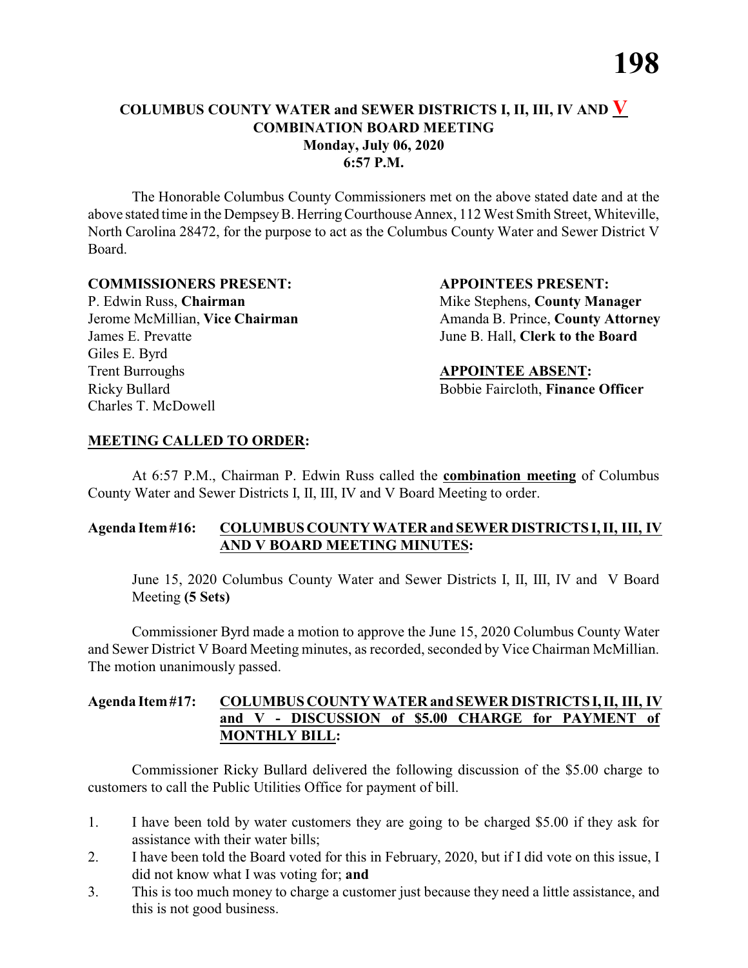#### **COLUMBUS COUNTY WATER and SEWER DISTRICTS I, II, III, IV AND V COMBINATION BOARD MEETING Monday, July 06, 2020 6:57 P.M.**

The Honorable Columbus County Commissioners met on the above stated date and at the above stated time in the DempseyB. HerringCourthouse Annex, 112 West Smith Street, Whiteville, North Carolina 28472, for the purpose to act as the Columbus County Water and Sewer District V Board.

#### **COMMISSIONERS PRESENT: APPOINTEES PRESENT:**

P. Edwin Russ, **Chairman** Mike Stephens, **County Manager** James E. Prevatte June B. Hall, **Clerk to the Board** Giles E. Byrd **Trent Burroughs APPOINTEE ABSENT:** Ricky Bullard **Bobbie Faircloth, Finance Officer** Charles T. McDowell

Jerome McMillian, Vice Chairman Amanda B. Prince, County Attorney

#### **MEETING CALLED TO ORDER:**

At 6:57 P.M., Chairman P. Edwin Russ called the **combination meeting** of Columbus County Water and Sewer Districts I, II, III, IV and V Board Meeting to order.

#### **Agenda Item#16: COLUMBUS COUNTY WATER and SEWER DISTRICTS I, II, III, IV AND V BOARD MEETING MINUTES:**

June 15, 2020 Columbus County Water and Sewer Districts I, II, III, IV and V Board Meeting **(5 Sets)**

Commissioner Byrd made a motion to approve the June 15, 2020 Columbus County Water and Sewer District V Board Meeting minutes, as recorded, seconded by Vice Chairman McMillian. The motion unanimously passed.

#### **Agenda Item#17: COLUMBUS COUNTY WATER and SEWER DISTRICTS I,II, III, IV and V - DISCUSSION of \$5.00 CHARGE for PAYMENT of MONTHLY BILL:**

- 1. I have been told by water customers they are going to be charged \$5.00 if they ask for assistance with their water bills;
- 2. I have been told the Board voted for this in February, 2020, but if I did vote on this issue, I did not know what I was voting for; **and**
- 3. This is too much money to charge a customer just because they need a little assistance, and this is not good business.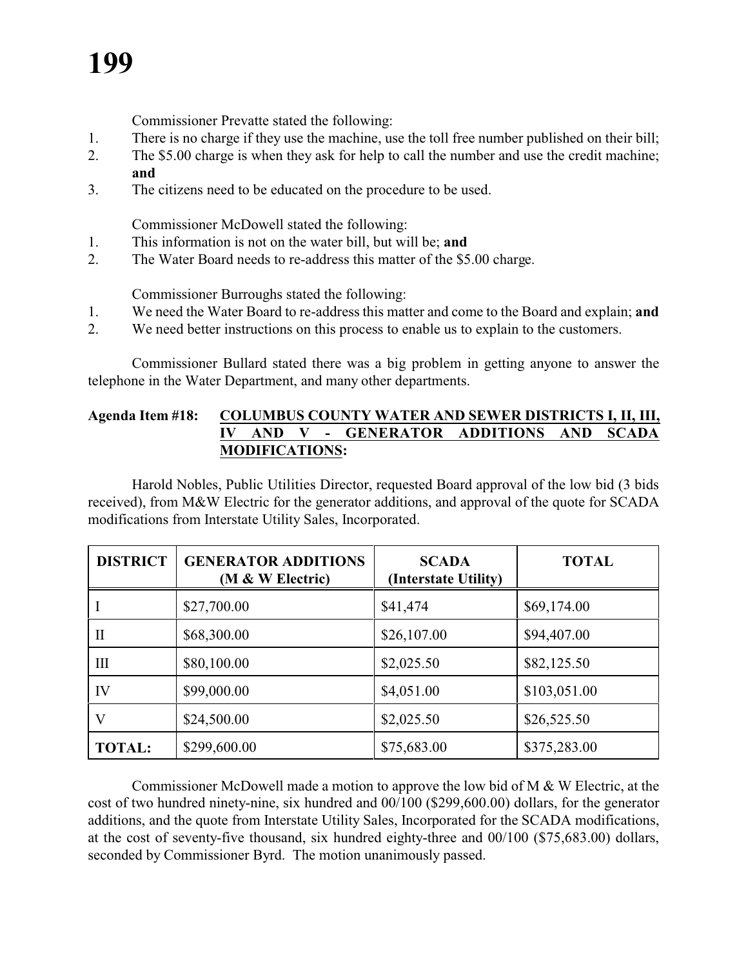### **199**

Commissioner Prevatte stated the following:

- 1. There is no charge if they use the machine, use the toll free number published on their bill;
- 2. The \$5.00 charge is when they ask for help to call the number and use the credit machine; **and**
- 3. The citizens need to be educated on the procedure to be used.

Commissioner McDowell stated the following:

- 1. This information is not on the water bill, but will be; **and**
- 2. The Water Board needs to re-address this matter of the \$5.00 charge.

Commissioner Burroughs stated the following:

- 1. We need the Water Board to re-address this matter and come to the Board and explain; **and**
- 2. We need better instructions on this process to enable us to explain to the customers.

Commissioner Bullard stated there was a big problem in getting anyone to answer the telephone in the Water Department, and many other departments.

#### **Agenda Item #18: COLUMBUS COUNTY WATER AND SEWER DISTRICTS I, II, III, IV AND V - GENERATOR ADDITIONS AND SCADA MODIFICATIONS:**

Harold Nobles, Public Utilities Director, requested Board approval of the low bid (3 bids received), from M&W Electric for the generator additions, and approval of the quote for SCADA modifications from Interstate Utility Sales, Incorporated.

| <b>DISTRICT</b>    | <b>GENERATOR ADDITIONS</b><br>(M & W Electric) | <b>SCADA</b><br>(Interstate Utility) | <b>TOTAL</b> |
|--------------------|------------------------------------------------|--------------------------------------|--------------|
|                    | \$27,700.00                                    | \$41,474                             | \$69,174.00  |
| П                  | \$68,300.00                                    | \$26,107.00                          | \$94,407.00  |
| $\mathop{\rm III}$ | \$80,100.00                                    | \$2,025.50                           | \$82,125.50  |
| IV                 | \$99,000.00                                    | \$4,051.00                           | \$103,051.00 |
| V                  | \$24,500.00                                    | \$2,025.50                           | \$26,525.50  |
| <b>TOTAL:</b>      | \$299,600.00                                   | \$75,683.00                          | \$375,283.00 |

Commissioner McDowell made a motion to approve the low bid of M & W Electric, at the cost of two hundred ninety-nine, six hundred and 00/100 (\$299,600.00) dollars, for the generator additions, and the quote from Interstate Utility Sales, Incorporated for the SCADA modifications, at the cost of seventy-five thousand, six hundred eighty-three and 00/100 (\$75,683.00) dollars, seconded by Commissioner Byrd. The motion unanimously passed.